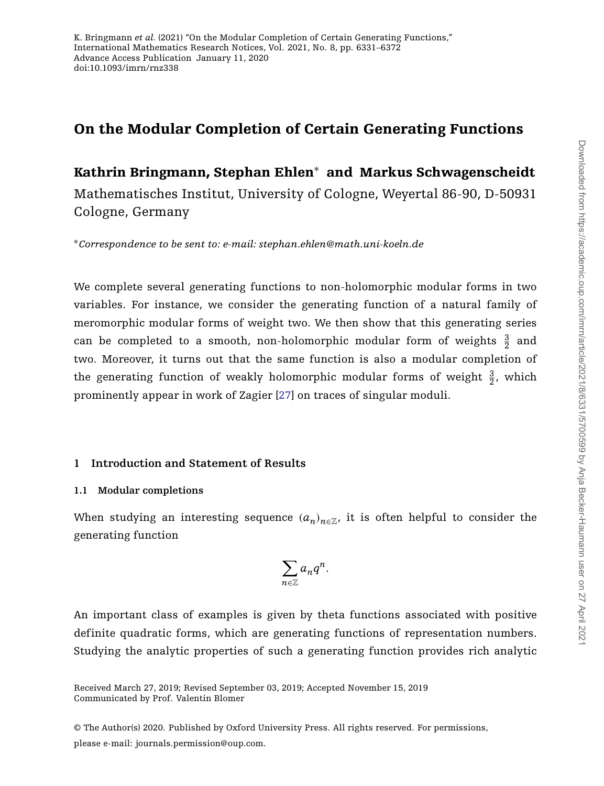# **On the Modular Completion of Certain Generating Functions**

# **Kathrin Bringmann, Stephan Ehlen**<sup>∗</sup> **and Markus Schwagenscheidt**

Mathematisches Institut, University of Cologne, Weyertal 86-90, D-50931 Cologne, Germany

<sup>∗</sup>*Correspondence to be sent to: e-mail: stephan.ehlen@math.uni-koeln.de*

We complete several generating functions to non-holomorphic modular forms in two variables. For instance, we consider the generating function of a natural family of meromorphic modular forms of weight two. We then show that this generating series can be completed to a smooth, non-holomorphic modular form of weights  $\frac{3}{2}$  and two. Moreover, it turns out that the same function is also a modular completion of the generating function of weakly holomorphic modular forms of weight  $\frac{3}{2}$ , which prominently appear in work of Zagier [\[27\]](#page-41-0) on traces of singular moduli.

## **1 Introduction and Statement of Results**

## **1.1 Modular completions**

When studying an interesting sequence  $(a_n)_{n \in \mathbb{Z}}$ , it is often helpful to consider the generating function

$$
\sum_{n\in\mathbb{Z}}a_nq^n.
$$

An important class of examples is given by theta functions associated with positive definite quadratic forms, which are generating functions of representation numbers. Studying the analytic properties of such a generating function provides rich analytic

© The Author(s) 2020. Published by Oxford University Press. All rights reserved. For permissions,

please e-mail: journals.permission@oup.com.

Communicated by Prof. Valentin Blomer Received March 27, 2019; Revised September 03, 2019; Accepted November 15, 2019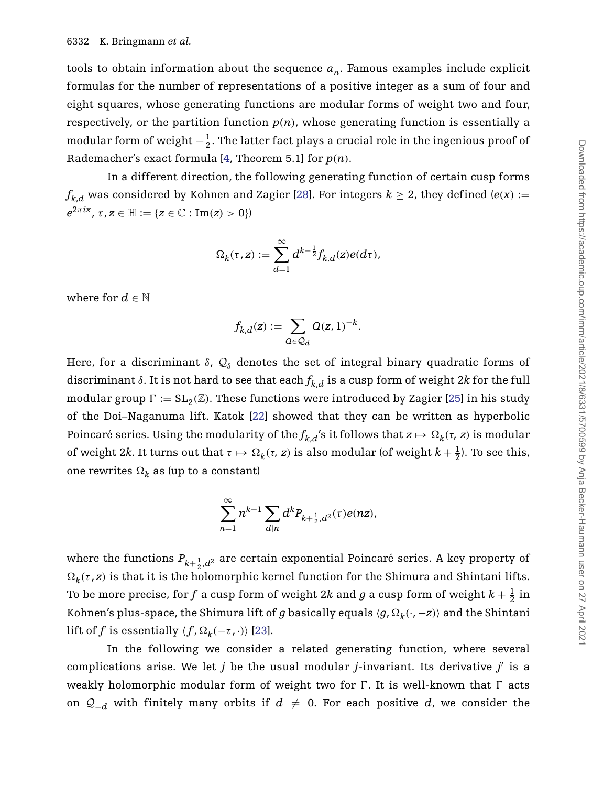tools to obtain information about the sequence  $a_n$ . Famous examples include explicit formulas for the number of representations of a positive integer as a sum of four and eight squares, whose generating functions are modular forms of weight two and four, respectively, or the partition function  $p(n)$ , whose generating function is essentially a modular form of weight  $-\frac{1}{2}$ . The latter fact plays a crucial role in the ingenious proof of Rademacher's exact formula [\[4,](#page-40-0) Theorem 5.1] for *p(n)*.

In a different direction, the following generating function of certain cusp forms  $f_{k,d}$  was considered by Kohnen and Zagier [\[28\]](#page-41-1). For integers  $k \geq 2$ , they defined ( $e(x) :=$  $e^{2\pi ix}$ ,  $\tau$ ,  $z \in \mathbb{H} := \{z \in \mathbb{C} : \text{Im}(z) > 0\}$ 

$$
\Omega_k(\tau,z):=\sum_{d=1}^\infty d^{k-\frac12}f_{k,d}(z)e(d\tau),
$$

where for  $d \in \mathbb{N}$ 

$$
f_{k,d}(z):=\sum_{\mathcal{Q}\in \mathcal{Q}_d}\mathcal{Q}(z,1)^{-k}.
$$

Here, for a discriminant  $\delta$ ,  $\mathcal{Q}_{\delta}$  denotes the set of integral binary quadratic forms of discriminant  $\delta$ . It is not hard to see that each  $f_{k,d}$  is a cusp form of weight 2*k* for the full modular group  $\Gamma := SL_2(\mathbb{Z})$ . These functions were introduced by Zagier [\[25\]](#page-41-2) in his study of the Doi–Naganuma lift. Katok [\[22\]](#page-40-1) showed that they can be written as hyperbolic Poincaré series. Using the modularity of the  $f_{k,d}$ 's it follows that  $z \mapsto \Omega_k(\tau, z)$  is modular of weight 2*k*. It turns out that  $\tau \mapsto \Omega_k(\tau, z)$  is also modular (of weight  $k + \frac{1}{2}$ ). To see this, one rewrites  $\Omega_k$  as (up to a constant)

$$
\sum_{n=1}^{\infty} n^{k-1} \sum_{d|n} d^k P_{k+\frac{1}{2},d^2}(\tau) e(nz),
$$

where the functions  $P_{k+\frac{1}{2},d^2}$  are certain exponential Poincaré series. A key property of  $\Omega_k(\tau, z)$  is that it is the holomorphic kernel function for the Shimura and Shintani lifts. To be more precise, for  $f$  a cusp form of weight 2 $k$  and  $g$  a cusp form of weight  $k+\frac{1}{2}$  in Kohnen's plus-space, the Shimura lift of *g* basically equals  $\langle g, \Omega_k(\cdot, -\overline{z})\rangle$  and the Shintani lift of *f* is essentially  $\langle f, \Omega_k(-\overline{\tau}, \cdot) \rangle$  [\[23\]](#page-41-3).

In the following we consider a related generating function, where several complications arise. We let  $j$  be the usual modular  $j$ -invariant. Its derivative  $j'$  is a weakly holomorphic modular form of weight two for  $\Gamma$ . It is well-known that  $\Gamma$  acts on  $Q_{-d}$  with finitely many orbits if  $d ≠ 0$ . For each positive  $d$ , we consider the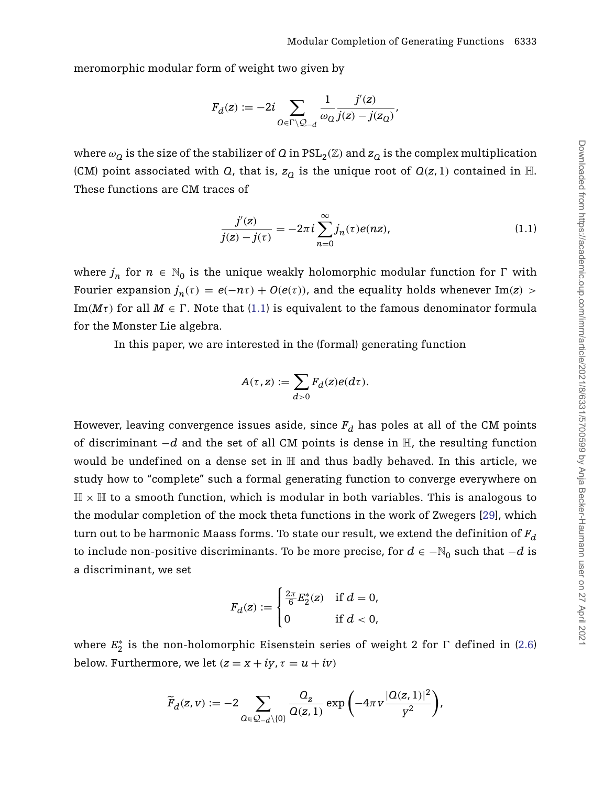meromorphic modular form of weight two given by

$$
F_d(z):=-2i\sum_{Q\in\Gamma\backslash\mathcal{Q}_{-d}}\frac{1}{\omega_Q}\frac{j'(z)}{j(z)-j(z_Q)},
$$

where  $\omega_Q$  is the size of the stabilizer of *Q* in PSL<sub>2</sub>( $\mathbb{Z}$ ) and  $z_Q$  is the complex multiplication (CM) point associated with *Q*, that is,  $z<sub>O</sub>$  is the unique root of  $Q(z, 1)$  contained in H. These functions are CM traces of

<span id="page-2-0"></span>
$$
\frac{j'(z)}{j(z) - j(\tau)} = -2\pi i \sum_{n=0}^{\infty} j_n(\tau) e(nz),
$$
\n(1.1)

where  $j_n$  for  $n \in \mathbb{N}_0$  is the unique weakly holomorphic modular function for  $\Gamma$  with Fourier expansion  $j_n(\tau) = e(-n\tau) + O(e(\tau))$ , and the equality holds whenever Im(*z*) > Im $(M\tau)$  for all  $M \in \Gamma$ . Note that [\(1.1\)](#page-2-0) is equivalent to the famous denominator formula for the Monster Lie algebra.

In this paper, we are interested in the (formal) generating function

$$
A(\tau, z) := \sum_{d>0} F_d(z)e(d\tau).
$$

However, leaving convergence issues aside, since  $F_d$  has poles at all of the CM points of discriminant −*d* and the set of all CM points is dense in H, the resulting function would be undefined on a dense set in H and thus badly behaved. In this article, we study how to "complete" such a formal generating function to converge everywhere on  $\mathbb{H} \times \mathbb{H}$  to a smooth function, which is modular in both variables. This is analogous to the modular completion of the mock theta functions in the work of Zwegers [\[29\]](#page-41-4), which turn out to be harmonic Maass forms. To state our result, we extend the definition of  $F_d$ to include non-positive discriminants. To be more precise, for  $d \in -\mathbb{N}_0$  such that  $-d$  is a discriminant, we set

$$
F_d(z) := \begin{cases} \frac{2\pi}{6} E_2^*(z) & \text{if } d = 0, \\ 0 & \text{if } d < 0, \end{cases}
$$

where  $E_2^*$  is the non-holomorphic Eisenstein series of weight 2 for  $\Gamma$  defined in [\(2.6\)](#page-11-0) below. Furthermore, we let  $(z = x + iy, \tau = u + iv)$ 

$$
\widetilde{F}_d(z,v) := -2 \sum_{\Omega \in \mathcal{Q}_{-d} \setminus \{0\}} \frac{Q_z}{\Omega(z,1)} \exp \left(-4\pi v \frac{|\Omega(z,1)|^2}{y^2}\right),\,
$$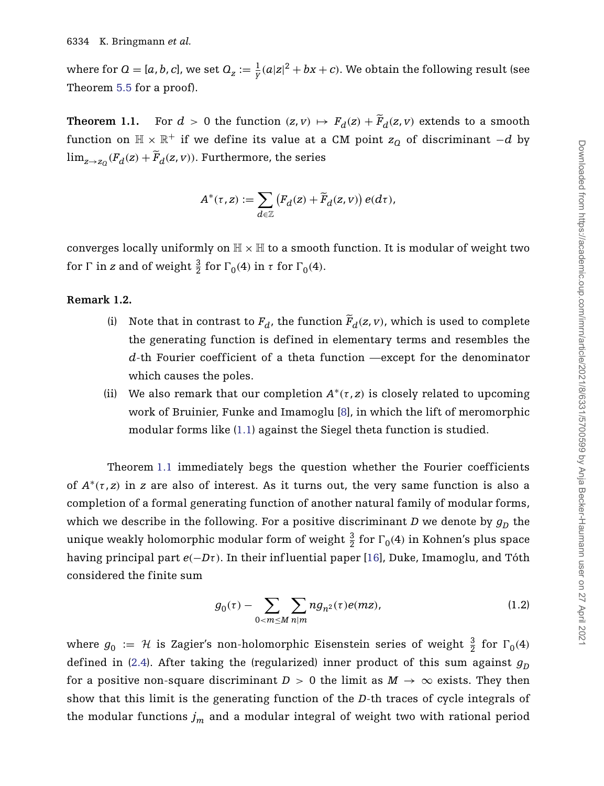where for  $Q = [a, b, c]$ , we set  $Q_{z} := \frac{1}{Y} (a|z|^2 + bx + c)$ . We obtain the following result (see Theorem [5.5](#page-25-0) for a proof).

<span id="page-3-0"></span>**Theorem 1.1.** For  $d > 0$  the function  $(z, v) \mapsto F_d(z) + \widetilde{F}_d(z, v)$  extends to a smooth function on  $\mathbb{H} \times \mathbb{R}^+$  if we define its value at a CM point  $z_0$  of discriminant  $-d$  by  $\lim_{z\to z_0} (F_d(z) + \tilde{F}_d(z, v))$ . Furthermore, the series

$$
A^*(\tau,z) := \sum_{d \in \mathbb{Z}} \left( F_d(z) + \widetilde{F}_d(z,v) \right) e(d\tau),
$$

converges locally uniformly on  $\mathbb{H} \times \mathbb{H}$  to a smooth function. It is modular of weight two for  $\Gamma$  in *z* and of weight  $\frac{3}{2}$  for  $\Gamma_0(4)$  in  $\tau$  for  $\Gamma_0(4)$ .

### **Remark 1.2.**

- (i) Note that in contrast to  $F_d$ , the function  $\tilde{F}_d(z, v)$ , which is used to complete the generating function is defined in elementary terms and resembles the *d*-th Fourier coefficient of a theta function —except for the denominator which causes the poles.
- (ii) We also remark that our completion  $A^*(\tau, z)$  is closely related to upcoming work of Bruinier, Funke and Imamoglu [\[8\]](#page-40-2), in which the lift of meromorphic modular forms like [\(1.1\)](#page-2-0) against the Siegel theta function is studied.

Theorem [1.1](#page-3-0) immediately begs the question whether the Fourier coefficients of  $A^*(\tau, z)$  in *z* are also of interest. As it turns out, the very same function is also a completion of a formal generating function of another natural family of modular forms, which we describe in the following. For a positive discriminant *D* we denote by  $g<sub>D</sub>$  the unique weakly holomorphic modular form of weight  $\frac{3}{2}$  for  $\Gamma_0(4)$  in Kohnen's plus space having principal part *e(*−*Dτ)*. In their inf luential paper [\[16\]](#page-40-3), Duke, Imamoglu, and Tóth considered the finite sum

<span id="page-3-1"></span>
$$
g_0(\tau) - \sum_{0 < m \le M} \sum_{n|m} n g_{n^2}(\tau) e(mz),\tag{1.2}
$$

where  $g_0 := \mathcal{H}$  is Zagier's non-holomorphic Eisenstein series of weight  $\frac{3}{2}$  for  $\Gamma_0(4)$ defined in [\(2.4\)](#page-11-1). After taking the (regularized) inner product of this sum against  $g<sub>D</sub>$ for a positive non-square discriminant  $D > 0$  the limit as  $M \to \infty$  exists. They then show that this limit is the generating function of the *D*-th traces of cycle integrals of the modular functions  $j_m$  and a modular integral of weight two with rational period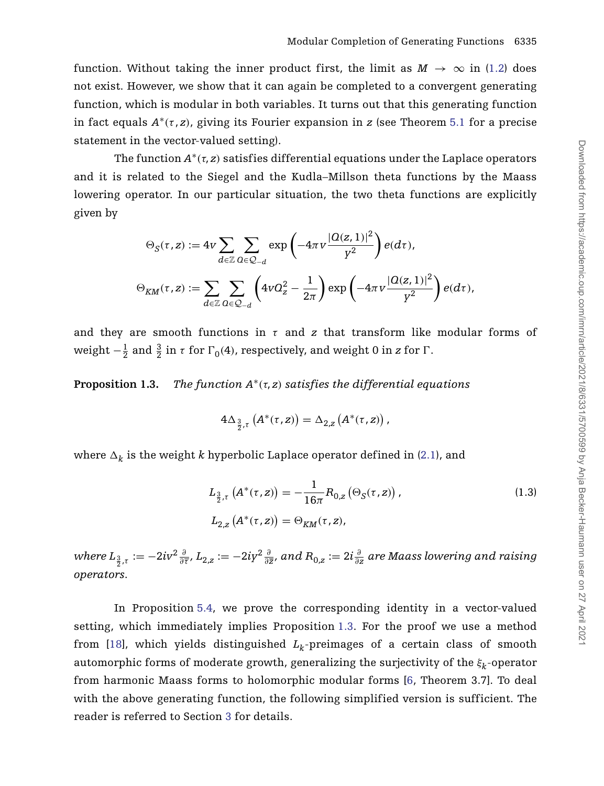function. Without taking the inner product first, the limit as  $M \to \infty$  in [\(1.2\)](#page-3-1) does not exist. However, we show that it can again be completed to a convergent generating function, which is modular in both variables. It turns out that this generating function in fact equals  $A^*(\tau, z)$ , giving its Fourier expansion in *z* (see Theorem [5.1](#page-21-0) for a precise statement in the vector-valued setting).

The function  $A^*(\tau, z)$  satisfies differential equations under the Laplace operators and it is related to the Siegel and the Kudla–Millson theta functions by the Maass lowering operator. In our particular situation, the two theta functions are explicitly given by

$$
\Theta_S(\tau, z) := 4v \sum_{d \in \mathbb{Z}} \sum_{\Omega \in \mathbb{Q}_{-d}} \exp\left(-4\pi v \frac{|Q(z, 1)|^2}{\gamma^2}\right) e(d\tau),
$$
  

$$
\Theta_{KM}(\tau, z) := \sum_{d \in \mathbb{Z}} \sum_{\Omega \in \mathbb{Q}_{-d}} \left(4vQ_z^2 - \frac{1}{2\pi}\right) \exp\left(-4\pi v \frac{|Q(z, 1)|^2}{\gamma^2}\right) e(d\tau),
$$

and they are smooth functions in  $\tau$  and  $\tau$  that transform like modular forms of weight  $-\frac{1}{2}$  and  $\frac{3}{2}$  in *τ* for  $\Gamma_0(4)$ , respectively, and weight 0 in *z* for Γ.

<span id="page-4-0"></span>**Proposition 1.3.** *The function*  $A^*(\tau, z)$  *satisfies the differential equations* 

<span id="page-4-1"></span>
$$
4\Delta_{\frac{3}{2},\tau}\left(A^*(\tau,z)\right)=\Delta_{2,z}\left(A^*(\tau,z)\right),
$$

where  $\Delta_k$  is the weight  $k$  hyperbolic Laplace operator defined in [\(2.1\)](#page-8-0), and

$$
L_{\frac{3}{2},\tau} (A^*(\tau,z)) = -\frac{1}{16\pi} R_{0,z} (\Theta_S(\tau,z)),
$$
  
\n
$$
L_{2,z} (A^*(\tau,z)) = \Theta_{KM}(\tau,z),
$$
\n(1.3)

where  $L_{\frac32, \tau}:= -2iv^2\frac{\partial}{\partial\overline{\tau}}, L_{2,z}:=-2iy^2\frac{\partial}{\partial\overline{z}},$  and  $R_{0,z}:=2i\frac{\partial}{\partial z}$  are Maass lowering and raising *operators*.

In Proposition [5.4,](#page-24-0) we prove the corresponding identity in a vector-valued setting, which immediately implies Proposition [1.3.](#page-4-0) For the proof we use a method from [\[18\]](#page-40-4), which yields distinguished  $L_k$ -preimages of a certain class of smooth automorphic forms of moderate growth, generalizing the surjectivity of the *ξk*-operator from harmonic Maass forms to holomorphic modular forms [\[6,](#page-40-5) Theorem 3.7]. To deal with the above generating function, the following simplified version is sufficient. The reader is referred to Section [3](#page-11-2) for details.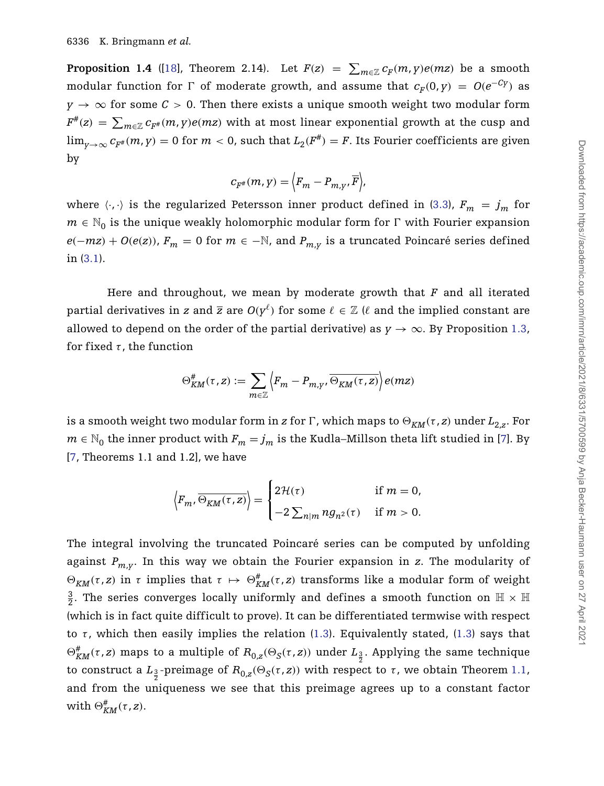**Proposition 1.4** ([\[18\]](#page-40-4), Theorem 2.14). Let  $F(z) = \sum_{m \in \mathbb{Z}} c_F(m, y) e(mz)$  be a smooth modular function for  $\Gamma$  of moderate growth, and assume that  $c_F(0, y) = O(e^{-Cy})$  as  $y \rightarrow \infty$  for some  $C > 0$ . Then there exists a unique smooth weight two modular form  $F^{\#}(z) \ = \ \sum_{m \in \mathbb{Z}} c_{F^{\#}}(m, y) e(mz)$  with at most linear exponential growth at the cusp and  $\lim_{v\to\infty} c_{F^*}(m, y) = 0$  for  $m < 0$ , such that  $L_2(F^*) = F$ . Its Fourier coefficients are given by

$$
c_{F^{\#}}(m, y) = \Big\langle F_m - P_{m, y}, \overline{F} \Big\rangle,
$$

where  $\langle \cdot, \cdot \rangle$  is the regularized Petersson inner product defined in [\(3.3\)](#page-14-0),  $F_m = j_m$  for  $m \in \mathbb{N}_0$  is the unique weakly holomorphic modular form for  $\Gamma$  with Fourier expansion *e*(*−mz*) + *O*(*e*(*z*)),  $F_m$  = 0 for  $m$  ∈ −N, and  $P_{m,y}$  is a truncated Poincaré series defined in [\(3.1\)](#page-12-0).

Here and throughout, we mean by moderate growth that *F* and all iterated partial derivatives in *z* and  $\overline{z}$  are  $O(y^{\ell})$  for some  $\ell \in \mathbb{Z}$  ( $\ell$  and the implied constant are allowed to depend on the order of the partial derivative) as  $y \to \infty$ . By Proposition [1.3,](#page-4-0) for fixed *τ* , the function

$$
\Theta_{KM}^{\#}(\tau,z) := \sum_{m \in \mathbb{Z}} \left\langle F_m - P_{m,\gamma}, \overline{\Theta_{KM}(\tau,z)} \right\rangle e(mz)
$$

is a smooth weight two modular form in *z* for  $\Gamma$ , which maps to  $\Theta_{KM}(\tau, z)$  under  $L_{2,z}$ . For *m* ∈  $\mathbb{N}_0$  the inner product with  $F_m = j_m$  is the Kudla–Millson theta lift studied in [\[7\]](#page-40-6). By [\[7,](#page-40-6) Theorems 1.1 and 1.2], we have

$$
\langle F_m, \overline{\Theta_{KM}(\tau,z)} \rangle = \begin{cases} 2\mathcal{H}(\tau) & \text{if } m = 0, \\ -2\sum_{n|m} n g_{n^2}(\tau) & \text{if } m > 0. \end{cases}
$$

The integral involving the truncated Poincaré series can be computed by unfolding against  $P_{m,v}$ . In this way we obtain the Fourier expansion in *z*. The modularity of  $\Theta_{KM}$ (*τ*,*z*) in *τ* implies that *τ* →  $\Theta_{KM}^#$ (*τ*,*z*) transforms like a modular form of weight  $\frac{3}{2}$ . The series converges locally uniformly and defines a smooth function on  $\mathbb{H} \times \mathbb{H}$ (which is in fact quite difficult to prove). It can be differentiated termwise with respect to *τ*, which then easily implies the relation  $(1.3)$ . Equivalently stated,  $(1.3)$  says that  $\Theta_{KM}^{\#}(\tau, z)$  maps to a multiple of  $R_{0,z}(\Theta_S(\tau, z))$  under  $L_{\frac{3}{2}}$ . Applying the same technique to construct a  $L_{\frac{3}{2}}$ -preimage of  $R_{0,z}(\Theta_{\cal S}(\tau,z))$  with respect to *τ* , we obtain Theorem [1.1,](#page-3-0) and from the uniqueness we see that this preimage agrees up to a constant factor with  $\Theta_{KM}^{\#}(\tau, z)$ .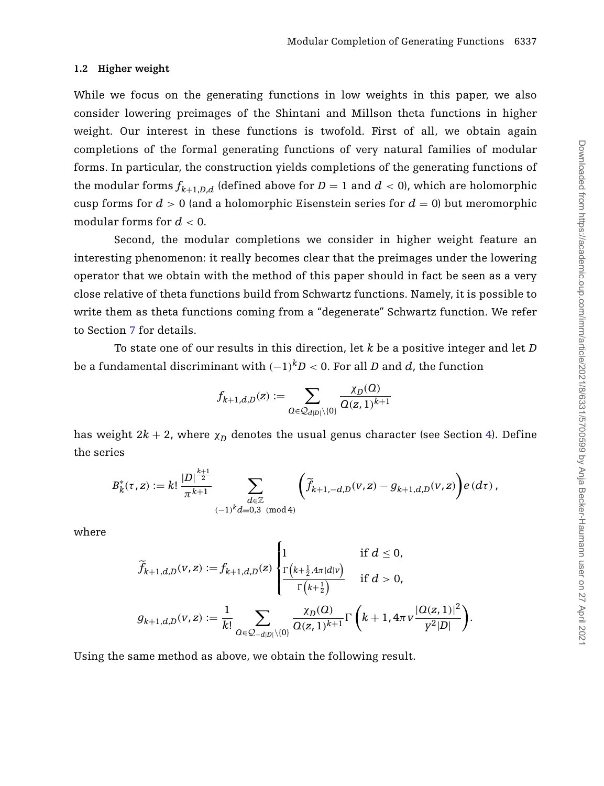#### **1.2 Higher weight**

While we focus on the generating functions in low weights in this paper, we also consider lowering preimages of the Shintani and Millson theta functions in higher weight. Our interest in these functions is twofold. First of all, we obtain again completions of the formal generating functions of very natural families of modular forms. In particular, the construction yields completions of the generating functions of the modular forms  $f_{k+1,D,d}$  (defined above for  $D = 1$  and  $d < 0$ ), which are holomorphic cusp forms for  $d > 0$  (and a holomorphic Eisenstein series for  $d = 0$ ) but meromorphic modular forms for *d <* 0.

Second, the modular completions we consider in higher weight feature an interesting phenomenon: it really becomes clear that the preimages under the lowering operator that we obtain with the method of this paper should in fact be seen as a very close relative of theta functions build from Schwartz functions. Namely, it is possible to write them as theta functions coming from a "degenerate" Schwartz function. We refer to Section [7](#page-31-0) for details.

To state one of our results in this direction, let *k* be a positive integer and let *D* be a fundamental discriminant with *(*−1*)kD <* 0. For all *D* and *d*, the function

$$
f_{k+1,d,D}(z):=\sum_{\substack{Q\in \mathcal{Q}_{d|D|}\setminus\{0\}}}\frac{\chi_D(Q)}{Q(z,1)^{k+1}}
$$

has weight  $2k + 2$ , where  $\chi_D$  denotes the usual genus character (see Section [4\)](#page-18-0). Define the series

$$
B_k^*(\tau, z) := k! \frac{|D|^{\frac{k+1}{2}}}{\pi^{k+1}} \sum_{\substack{d \in \mathbb{Z} \\ (-1)^k d \equiv 0, 3 \pmod{4}}} \left( \widetilde{f}_{k+1, -d, D}(v, z) - g_{k+1, d, D}(v, z) \right) e(d\tau),
$$

where

$$
\begin{aligned} \widetilde{f}_{k+1,d,D}(v,z) :=&\,f_{k+1,d,D}(z)\,\left\{\!\frac{\Gamma\!\left(k+\frac{1}{2},4\pi|d|v\right)}{\Gamma\!\left(k+\frac{1}{2}\right)}\quad \, \text{if}\,\,d\leq 0,\\ &\,g_{k+1,d,D}(v,z):=\frac{1}{k!}\sum_{\substack{Q\in\mathcal{Q}_{-d|D|\setminus\{0\}}}}\frac{\chi_D(Q)}{Q(z,1)^{k+1}}\Gamma\left(k+1,4\pi v\frac{|Q(z,1)|^2}{y^2|D|}\right). \end{aligned}\right.
$$

Using the same method as above, we obtain the following result.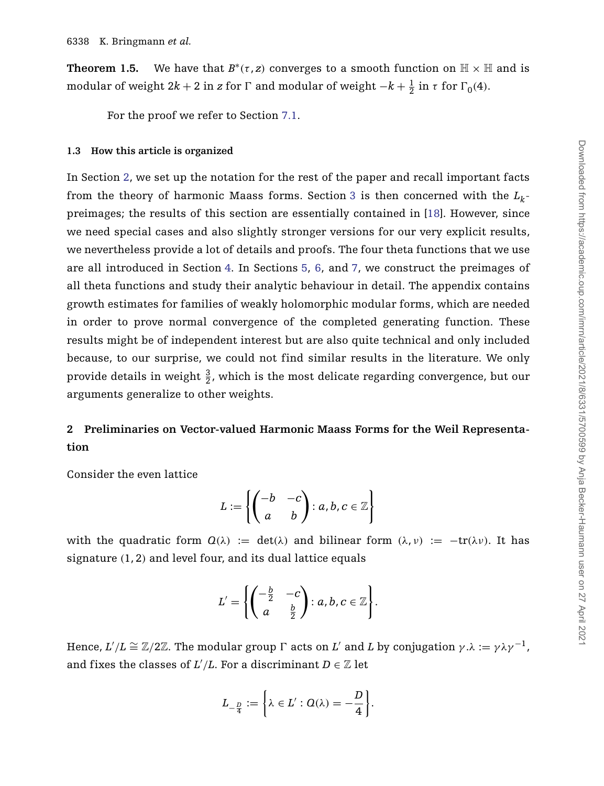<span id="page-7-1"></span>**Theorem 1.5.** We have that  $B^*(\tau, z)$  converges to a smooth function on  $\mathbb{H} \times \mathbb{H}$  and is modular of weight  $2k + 2$  in *z* for  $\Gamma$  and modular of weight  $-k + \frac{1}{2}$  in  $\tau$  for  $\Gamma_0(4)$ .

For the proof we refer to Section [7.1.](#page-31-1)

#### **1.3 How this article is organized**

In Section [2,](#page-7-0) we set up the notation for the rest of the paper and recall important facts from the theory of harmonic Maass forms. Section [3](#page-11-2) is then concerned with the  $L_k$ preimages; the results of this section are essentially contained in [\[18\]](#page-40-4). However, since we need special cases and also slightly stronger versions for our very explicit results, we nevertheless provide a lot of details and proofs. The four theta functions that we use are all introduced in Section [4.](#page-18-0) In Sections [5,](#page-21-1) [6,](#page-28-0) and [7,](#page-31-0) we construct the preimages of all theta functions and study their analytic behaviour in detail. The appendix contains growth estimates for families of weakly holomorphic modular forms, which are needed in order to prove normal convergence of the completed generating function. These results might be of independent interest but are also quite technical and only included because, to our surprise, we could not find similar results in the literature. We only provide details in weight  $\frac{3}{2}$ , which is the most delicate regarding convergence, but our arguments generalize to other weights.

## <span id="page-7-0"></span>**2 Preliminaries on Vector-valued Harmonic Maass Forms for the Weil Representation**

Consider the even lattice

$$
L := \left\{ \begin{pmatrix} -b & -c \\ a & b \end{pmatrix} : a, b, c \in \mathbb{Z} \right\}
$$

with the quadratic form  $Q(\lambda) := det(\lambda)$  and bilinear form  $(\lambda, \nu) := -tr(\lambda \nu)$ . It has signature *(*1, 2*)* and level four, and its dual lattice equals

$$
L'=\left\{\begin{pmatrix}-\frac{b}{2} & -c\\ a & \frac{b}{2}\end{pmatrix}: a,b,c\in\mathbb{Z}\right\}.
$$

Hence,  $L'/L \cong \mathbb{Z}/2\mathbb{Z}$ . The modular group  $\Gamma$  acts on  $L'$  and  $L$  by conjugation  $\gamma.\lambda := \gamma \lambda \gamma^{-1}$  , and fixes the classes of  $L'/L$ . For a discriminant  $D \in \mathbb{Z}$  let

$$
L_{-\frac{D}{4}}:=\bigg\{\lambda\in L':\text{$Q(\lambda)=-\frac{D}{4}$}\bigg\}.
$$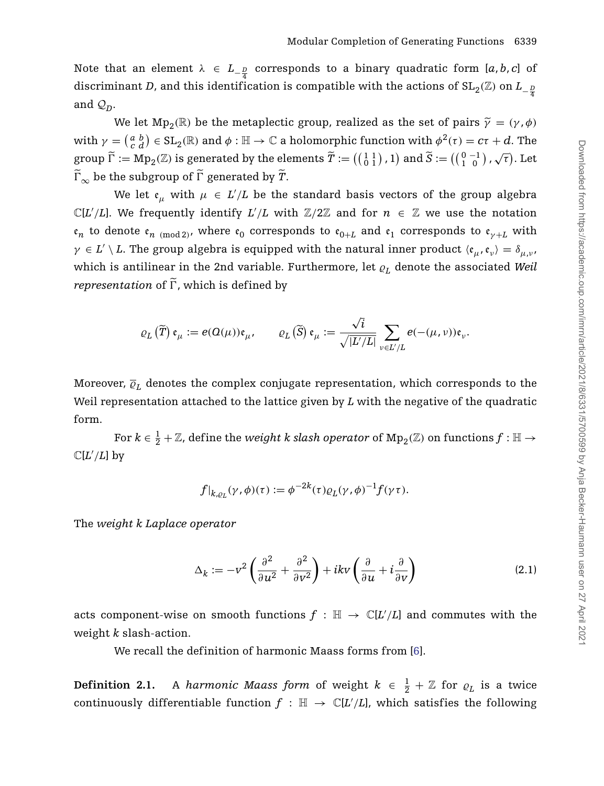Note that an element  $\lambda$  ∈  $L_{-\frac{D}{4}}$  corresponds to a binary quadratic form [*a*, *b*, *c*] of discriminant *D*, and this identification is compatible with the actions of SL<sub>2</sub>( $\mathbb{Z}$ ) on *L*<sub>−</sub><sup>*n*</sup><sub>4</sub> and  $\mathcal{Q}_D$ .

We let  $Mp_2(\mathbb{R})$  be the metaplectic group, realized as the set of pairs  $\tilde{\gamma} = (\gamma, \phi)$  $\text{with } \gamma = \left(\begin{smallmatrix} a & b \ c & d \end{smallmatrix}\right) \in \text{SL}_2(\mathbb{R}) \text{ and } \phi: \mathbb{H} \to \mathbb{C} \text{ a holomorphic function with } \phi^2(\tau) = c\tau + d.$  The group  $\widetilde{\Gamma} := \text{Mp}_2(\mathbb{Z})$  is generated by the elements  $\widetilde{T} := \left( \begin{pmatrix} 1 & 1 \\ 0 & 1 \end{pmatrix}, 1 \right)$  and  $\widetilde{S} := \left( \begin{pmatrix} 0 & -1 \\ 1 & 0 \end{pmatrix}, \sqrt{\tau} \right)$ . Let  $\widetilde{\Gamma}_{\infty}$  be the subgroup of  $\widetilde{\Gamma}$  generated by  $\widetilde{T}$ .

We let  $\mathfrak{e}_{\mu}$  with  $\mu \in L'/L$  be the standard basis vectors of the group algebra  $\mathbb{C}[L'/L]$ . We frequently identify  $L'/L$  with  $\mathbb{Z}/2\mathbb{Z}$  and for  $n \in \mathbb{Z}$  we use the notation  $\epsilon_n$  to denote  $\epsilon_n$  <sub>(mod 2</sub>), where  $\epsilon_0$  corresponds to  $\epsilon_{0+L}$  and  $\epsilon_1$  corresponds to  $\epsilon_{\gamma+L}$  with  $\gamma \in L' \setminus L$ . The group algebra is equipped with the natural inner product  $\langle e_\mu, e_\nu \rangle = \delta_{\mu,\nu}$ which is antilinear in the 2nd variable. Furthermore, let  $\rho_L$  denote the associated *Weil representation* of  $\tilde{\Gamma}$ , which is defined by

$$
\varrho_L\left(\widetilde{T}\right)\mathfrak{e}_{\mu}:=e(\Omega(\mu))\mathfrak{e}_{\mu},\qquad \varrho_L\left(\widetilde{S}\right)\mathfrak{e}_{\mu}:=\frac{\sqrt{i}}{\sqrt{\left|L'/L\right|}}\sum_{\nu\in L'/L}e(-(\mu,\nu))\mathfrak{e}_{\nu}.
$$

Moreover,  $\overline{\varrho}_L$  denotes the complex conjugate representation, which corresponds to the Weil representation attached to the lattice given by *L* with the negative of the quadratic form.

For  $k\in\frac{1}{2}+\mathbb{Z}$ , define the *weight k slash operator* of  $\mathrm{Mp}_2(\mathbb{Z})$  on functions  $f:\mathbb{H}\to$  $\mathbb{C}[L'/L]$  by

$$
f|_{k,\varrho_L}(\gamma,\phi)(\tau):=\phi^{-2k}(\tau)\varrho_L(\gamma,\phi)^{-1}f(\gamma\tau).
$$

The *weight k Laplace operator*

<span id="page-8-0"></span>
$$
\Delta_k := -v^2 \left( \frac{\partial^2}{\partial u^2} + \frac{\partial^2}{\partial v^2} \right) + ikv \left( \frac{\partial}{\partial u} + i \frac{\partial}{\partial v} \right) \tag{2.1}
$$

acts component-wise on smooth functions  $f : \mathbb{H} \to \mathbb{C}[L/L]$  and commutes with the weight *k* slash-action.

We recall the definition of harmonic Maass forms from [\[6\]](#page-40-5).

**Definition 2.1.** A *harmonic Maass form* of weight  $k \in \frac{1}{2} + \mathbb{Z}$  for  $\varrho_L$  is a twice continuously differentiable function  $f : \mathbb{H} \to \mathbb{C}[L'/L]$ , which satisfies the following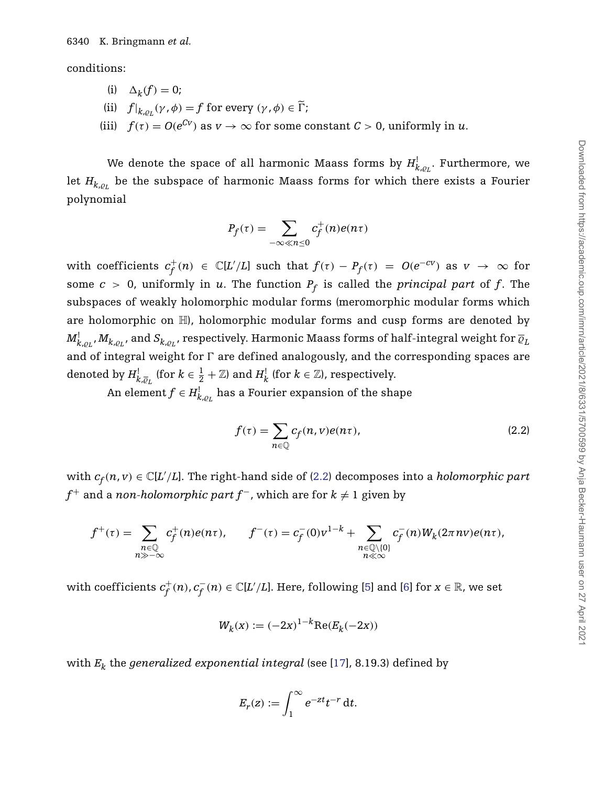conditions:

- (i)  $\Delta_k(f) = 0;$
- (ii)  $f|_{k.o}(\gamma, \phi) = f$  for every  $(\gamma, \phi) \in \widetilde{\Gamma}$ ;
- (iii)  $f(\tau) = O(e^{Cv})$  as  $v \to \infty$  for some constant  $C > 0$ , uniformly in *u*.

We denote the space of all harmonic Maass forms by  $H_{k,\varrho_L}^!$ . Furthermore, we let  $H_{k,\rho_L}$  be the subspace of harmonic Maass forms for which there exists a Fourier polynomial

$$
P_f(\tau) = \sum_{-\infty \ll n \le 0} c_f^+(n)e(n\tau)
$$

with coefficients  $c_f^+(n) \in \mathbb{C}[L'/L]$  such that  $f(\tau) - P_f(\tau) = O(e^{-cV})$  as  $v \to \infty$  for some  $c > 0$ , uniformly in *u*. The function  $P_f$  is called the *principal part* of *f*. The subspaces of weakly holomorphic modular forms (meromorphic modular forms which are holomorphic on  $\mathbb{H}$ , holomorphic modular forms and cusp forms are denoted by  $M_{k,\varrho_L}^! ,M_{k,\varrho_L}^{},$  and  $S_{k,\varrho_L}^{},$  respectively. Harmonic Maass forms of half-integral weight for  $\overline{\varrho}_L^{}$ and of integral weight for  $\Gamma$  are defined analogously, and the corresponding spaces are denoted by  $H_{k,\overline{\varrho}_L}^!$  (for  $k \in \frac{1}{2} + \mathbb{Z}$ ) and  $H_k^!$  (for  $k \in \mathbb{Z}$ ), respectively.

An element  $f \in H_{k,\varrho_L}^{\rm l}$  has a Fourier expansion of the shape

<span id="page-9-0"></span>
$$
f(\tau) = \sum_{n \in \mathbb{Q}} c_f(n, v) e(n\tau),
$$
\n(2.2)

with  $c_f(n, v) \in \mathbb{C}[L'/L]$ . The right-hand side of [\(2.2\)](#page-9-0) decomposes into a *holomorphic part f*<sup>+</sup> and a *non-holomorphic part f<sup>−</sup>,* which are for  $k \neq 1$  given by

$$
f^+(\tau) = \sum_{\substack{n\in\mathbb{Q}\\n\gg -\infty}}c_f^+(n)e(n\tau),\qquad f^-(\tau) = c_f^-(0)v^{1-k} + \sum_{\substack{n\in\mathbb{Q}\setminus\{0\}\\n\ll\infty}}c_f^-(n)W_k(2\pi nv)e(n\tau),
$$

with coefficients  $c_f^+(n)$ ,  $c_f^-(n) \in \mathbb{C}[L'/L].$  Here, following [\[5\]](#page-40-7) and [\[6\]](#page-40-5) for  $x \in \mathbb{R}$ , we set

$$
W_k(x) := (-2x)^{1-k} \text{Re}(E_k(-2x))
$$

with *Ek* the *generalized exponential integral* (see [\[17\]](#page-40-8), 8.19.3) defined by

$$
E_r(z) := \int_1^\infty e^{-zt} t^{-r} dt.
$$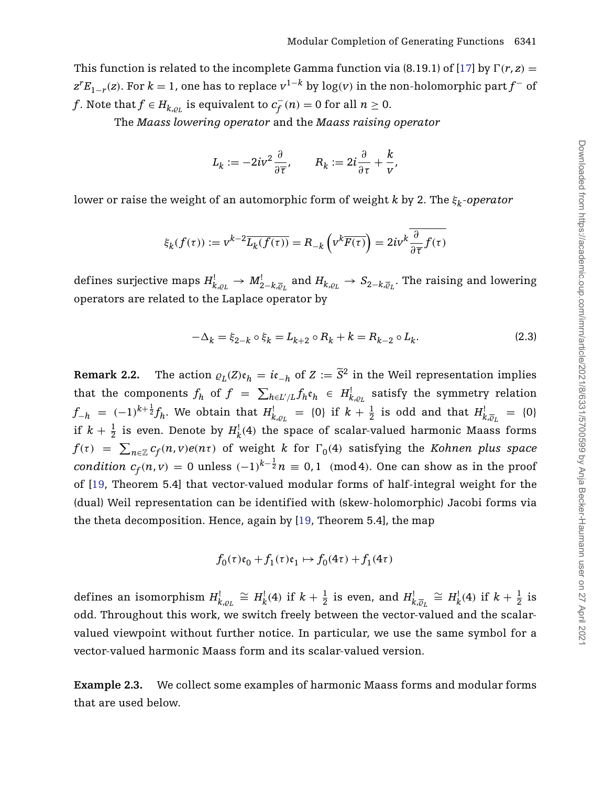This function is related to the incomplete Gamma function via (8.19.1) of [\[17\]](#page-40-8) by  $\Gamma(r, z) =$  $z^{r}E_{1-r}(z)$ . For  $k = 1$ , one has to replace  $v^{1-k}$  by log $(v)$  in the non-holomorphic part  $f^{-}$  of *f*. Note that  $f \in H_{k,\varrho_L}$  is equivalent to  $c_f^-(n) = 0$  for all  $n \geq 0$ .

The *Maass lowering operator* and the *Maass raising operator*

$$
L_k := -2iv^2 \frac{\partial}{\partial \overline{\tau}}, \qquad R_k := 2i \frac{\partial}{\partial \tau} + \frac{k}{v},
$$

lower or raise the weight of an automorphic form of weight *k* by 2. The *ξk*-*operator*

$$
\xi_k(f(\tau)) := v^{k-2} \overline{L_k(f(\tau))} = R_{-k} \left( v^k \overline{F(\tau)} \right) = 2iv^k \frac{\partial}{\partial \overline{\tau}} f(\tau)
$$

defines surjective maps  $H^!_{k,\varrho_L}\to M^!_{2-k,\overline{\varrho}_L}$  and  $H_{k,\varrho_L}\to S_{2-k,\overline{\varrho}_L}.$  The raising and lowering operators are related to the Laplace operator by

<span id="page-10-0"></span>
$$
-\Delta_k = \xi_{2-k} \circ \xi_k = L_{k+2} \circ R_k + k = R_{k-2} \circ L_k. \tag{2.3}
$$

<span id="page-10-1"></span>**Remark 2.2.** The action  $\varrho_L(Z)\mathfrak{e}_h = i\mathfrak{e}_{-h}$  of  $Z := \tilde{S}^2$  in the Weil representation implies that the components  $f_h$  of  $f = \sum_{h \in L'/L} f_h e_h \in H^!_{k,\varrho_L}$  satisfy the symmetry relation  $f_{-h}$  =  $(-1)^{k+\frac{1}{2}}f_h$ . We obtain that  $H^!_{k,\varrho_L}$  = {0} if  $k+\frac{1}{2}$  is odd and that  $H^!_{k,\overline{\varrho}_L}$  = {0} if  $k + \frac{1}{2}$  is even. Denote by  $H^!_k(4)$  the space of scalar-valued harmonic Maass forms  $f(\tau)$  =  $\sum_{n\in\mathbb{Z}}c_{f}(n,v)e(n\tau)$  of weight  $k$  for  $\Gamma_{0}(4)$  satisfying the *Kohnen plus space*  $condition \,\, c_f(n,v) = 0 \,\, \text{unless} \,\, (-1)^{k-\frac{1}{2}} n \equiv 0,1 \,\, \text{ (mod 4).} \,\, \text{One can show as in the proof}$ of [\[19,](#page-40-9) Theorem 5.4] that vector-valued modular forms of half-integral weight for the (dual) Weil representation can be identified with (skew-holomorphic) Jacobi forms via the theta decomposition. Hence, again by [\[19,](#page-40-9) Theorem 5.4], the map

$$
f_0(\tau)\mathfrak{e}_0+f_1(\tau)\mathfrak{e}_1\mapsto f_0(4\tau)+f_1(4\tau)
$$

defines an isomorphism  $H_{k,\varrho_L}^! \cong H_k^!(4)$  if  $k+\frac{1}{2}$  is even, and  $H_{k,\overline{\varrho}_L}^! \cong H_k^!(4)$  if  $k+\frac{1}{2}$  is odd. Throughout this work, we switch freely between the vector-valued and the scalarvalued viewpoint without further notice. In particular, we use the same symbol for a vector-valued harmonic Maass form and its scalar-valued version.

**Example 2.3.** We collect some examples of harmonic Maass forms and modular forms that are used below.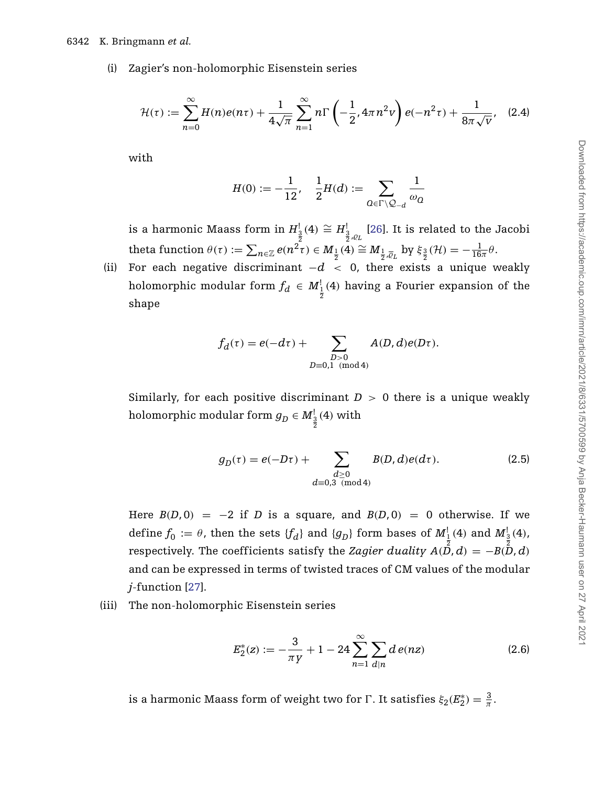#### 6342 K. Bringmann *et al.*

(i) Zagier's non-holomorphic Eisenstein series

$$
\mathcal{H}(\tau) := \sum_{n=0}^{\infty} H(n)e(n\tau) + \frac{1}{4\sqrt{\pi}} \sum_{n=1}^{\infty} n\Gamma\left(-\frac{1}{2}, 4\pi n^2 v\right) e(-n^2 \tau) + \frac{1}{8\pi \sqrt{v}}, \quad (2.4)
$$

with

<span id="page-11-1"></span>
$$
H(0):=-\frac{1}{12},\quad \frac{1}{2}H(d):=\sum_{\varOmega\in\Gamma\backslash\mathcal{Q}_{-d}}\frac{1}{\omega_{\varOmega}}
$$

is a harmonic Maass form in  $H^1_{\frac{3}{2}}(4) \cong H^1_{\frac{3}{2},\rho_L}$  [\[26\]](#page-41-5). It is related to the Jacobi  $\text{theta function } \theta(\tau) := \sum_{n \in \mathbb{Z}} e(n^2 \tau) \in M_{\frac{1}{2}}(\overline{4}) \cong M_{\frac{1}{2}, \overline{\varrho}_L} \text{ by } \xi_{\frac{3}{2}}(\mathcal{H}) = -\frac{1}{16\pi} \theta.$ 

(ii) For each negative discriminant  $-d < 0$ , there exists a unique weakly holomorphic modular form  $f_d \in M^1_{\frac{1}{2}}(4)$  having a Fourier expansion of the shape

$$
f_d(\tau) = e(-d\tau) + \sum_{\substack{D>0\\D\equiv 0,1\pmod{4}}} A(D,d)e(D\tau).
$$

Similarly, for each positive discriminant  $D > 0$  there is a unique weakly holomorphic modular form  $g_D \in M_{\frac{3}{2}}^1(4)$  with

<span id="page-11-3"></span>
$$
g_D(\tau) = e(-D\tau) + \sum_{\substack{d \ge 0 \\ d \equiv 0,3 \pmod{4}}} B(D, d)e(d\tau).
$$
 (2.5)

Here  $B(D, 0) = -2$  if *D* is a square, and  $B(D, 0) = 0$  otherwise. If we define  $f_0 := \theta$ , then the sets  $\{f_d\}$  and  $\{g_D\}$  form bases of  $M^!_{\frac{1}{2}}(4)$  and  $M^!_{\frac{3}{2}}(4)$ , respectively. The coefficients satisfy the *Zagier duality A*( $\stackrel{\text{2}}{D}$ ,*d*) = −*B*( $\stackrel{\text{2}}{D}$ ,*d*) and can be expressed in terms of twisted traces of CM values of the modular *j*-function [\[27\]](#page-41-0).

(iii) The non-holomorphic Eisenstein series

<span id="page-11-0"></span>
$$
E_2^*(z) := -\frac{3}{\pi y} + 1 - 24 \sum_{n=1}^{\infty} \sum_{d|n} d e(nz)
$$
 (2.6)

<span id="page-11-2"></span>is a harmonic Maass form of weight two for  $\Gamma$ . It satisfies  $\xi_2(E_2^*) = \frac{3}{\pi}$ .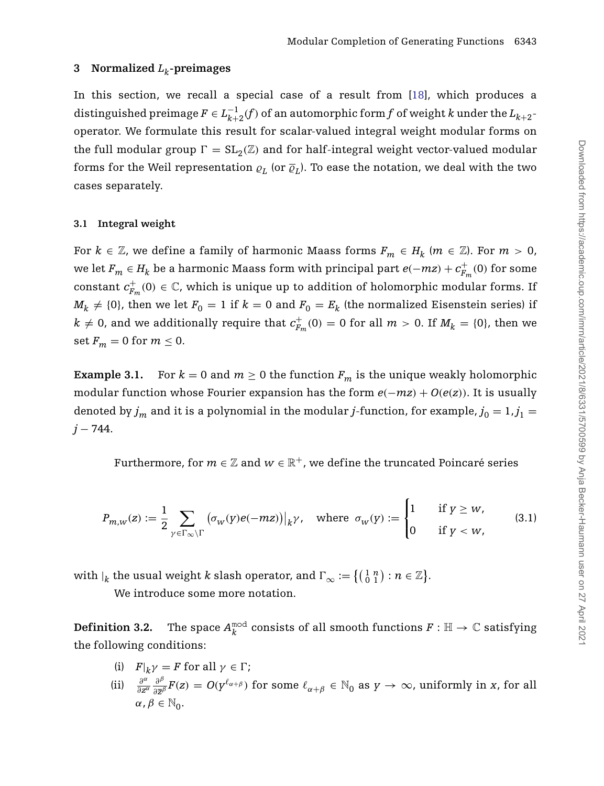## **3 Normalized** *Lk***-preimages**

In this section, we recall a special case of a result from [\[18\]](#page-40-4), which produces a distinguished preimage  $F \in L_{k+2}^{-1}(f)$  of an automorphic form  $f$  of weight  $k$  under the  $L_{k+2}$ operator. We formulate this result for scalar-valued integral weight modular forms on the full modular group  $\Gamma = SL_2(\mathbb{Z})$  and for half-integral weight vector-valued modular forms for the Weil representation  $\rho_L$  (or  $\overline{\varrho}_L$ ). To ease the notation, we deal with the two cases separately.

## **3.1 Integral weight**

For  $k \in \mathbb{Z}$ , we define a family of harmonic Maass forms  $F_m \in H_k$  ( $m \in \mathbb{Z}$ ). For  $m > 0$ , we let  $F_m \in H_k$  be a harmonic Maass form with principal part  $e(-mz) + c_{F_m}^+(0)$  for some constant  $c_{F_m}^+(0) \in \mathbb{C}$ , which is unique up to addition of holomorphic modular forms. If  $M_k \neq \{0\}$ , then we let  $F_0 = 1$  if  $k = 0$  and  $F_0 = E_k$  (the normalized Eisenstein series) if  $k \neq 0$ , and we additionally require that  $c_{F_m}^+(0) = 0$  for all  $m > 0$ . If  $M_k = \{0\}$ , then we set  $F_m = 0$  for  $m \leq 0$ .

**Example 3.1.** For  $k = 0$  and  $m \geq 0$  the function  $F_m$  is the unique weakly holomorphic modular function whose Fourier expansion has the form  $e(-mz) + O(e(z))$ . It is usually denoted by  $j_m$  and it is a polynomial in the modular *j*-function, for example,  $j_0 = 1, j_1 =$ *j* − 744.

<span id="page-12-0"></span>Furthermore, for  $m \in \mathbb{Z}$  and  $w \in \mathbb{R}^+$ , we define the truncated Poincaré series

$$
P_{m,w}(z) := \frac{1}{2} \sum_{\gamma \in \Gamma_{\infty} \backslash \Gamma} \left( \sigma_w(y) e(-mz) \right) \big|_{k} \gamma, \quad \text{where } \sigma_w(y) := \begin{cases} 1 & \text{if } y \ge w, \\ 0 & \text{if } y < w, \end{cases} \tag{3.1}
$$

with  $|_k$  the usual weight  $k$  slash operator, and  $\Gamma_{\infty} := \left\{ \left( \begin{smallmatrix} 1 & n \ 0 & 1 \end{smallmatrix} \right) : n \in \mathbb{Z} \right\}$ .

We introduce some more notation.

<span id="page-12-1"></span> $\textbf{Definition 3.2.} \quad \text{The space } A_{k}^{\text{mod}} \text{ consists of all smooth functions } F: \mathbb{H} \rightarrow \mathbb{C} \text{ satisfying }$ the following conditions:

- (i)  $F|_k \gamma = F$  for all  $\gamma \in \Gamma$ ;
- (ii)  $\frac{\partial^{\alpha}}{\partial z^{\alpha}} \frac{\partial^{\beta}}{\partial \bar{z}^{\beta}} F(z) = O(y^{\ell_{\alpha+\beta}})$  for some  $\ell_{\alpha+\beta} \in \mathbb{N}_0$  as  $y \to \infty$ , uniformly in x, for all  $\alpha, \beta \in \mathbb{N}_0$ .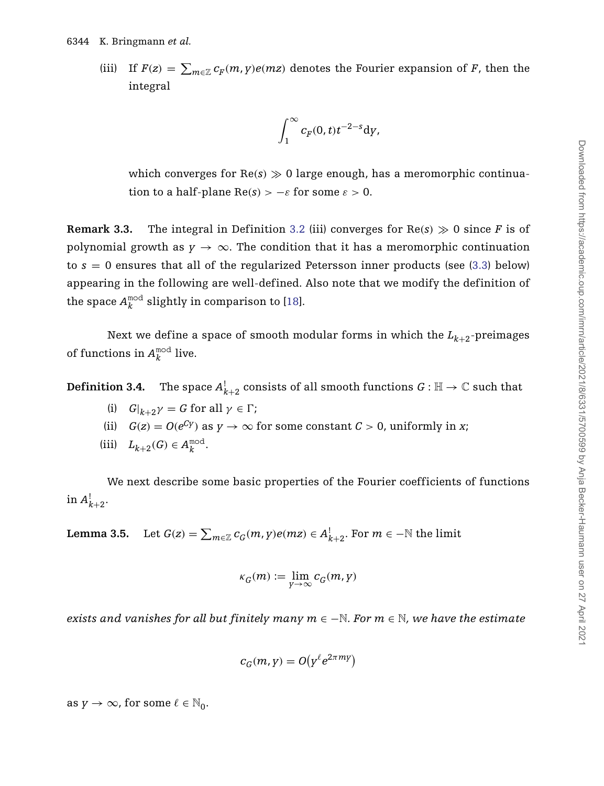(iii) If  $F(z) = \sum_{m \in \mathbb{Z}} c_F(m, y) e(mz)$  denotes the Fourier expansion of *F*, then the integral

$$
\int_1^\infty c_F(0,t)t^{-2-s}\mathrm{d} y,
$$

which converges for  $Re(s) \gg 0$  large enough, has a meromorphic continuation to a half-plane  $\text{Re}(s) > -\varepsilon$  for some  $\varepsilon > 0$ .

**Remark 3.3.** The integral in Definition [3.2](#page-12-1) (iii) converges for  $Re(s) \ge 0$  since *F* is of polynomial growth as  $y \to \infty$ . The condition that it has a meromorphic continuation to  $s = 0$  ensures that all of the regularized Petersson inner products (see  $(3.3)$  below) appearing in the following are well-defined. Also note that we modify the definition of the space  $A_k^{\text{mod}}$  slightly in comparison to [\[18\]](#page-40-4).

Next we define a space of smooth modular forms in which the  $L_{k+2}$ -preimages of functions in  $A_k^{\text{mod}}$  live.

**Definition 3.4.** The space  $A^!_{k+2}$  consists of all smooth functions  $G:\mathbb{H}\to\mathbb{C}$  such that

- (i)  $G|_{k+2}\gamma = G$  for all  $\gamma \in \Gamma$ ;
- (ii)  $G(z) = O(e^{Cy})$  as  $y \to \infty$  for some constant  $C > 0$ , uniformly in *x*;
- (iii)  $L_{k+2}(G) \in A_k^{\text{mod}}$ .

We next describe some basic properties of the Fourier coefficients of functions in  $A_{k+2}^!$ .

<span id="page-13-0"></span>**Lemma 3.5.** Let  $G(z) = \sum_{m \in \mathbb{Z}} c_G(m, y) e(mz) \in A^!_{k+2}$ . For  $m \in -\mathbb{N}$  the limit

$$
\kappa_G(m) := \lim_{Y \to \infty} c_G(m, Y)
$$

*exists and vanishes for all but finitely many m* ∈ −N*. For m* ∈ N*, we have the estimate*

$$
c_G(m, y) = O(y^{\ell} e^{2\pi m y})
$$

as  $y \to \infty$ , for some  $\ell \in \mathbb{N}_0$ .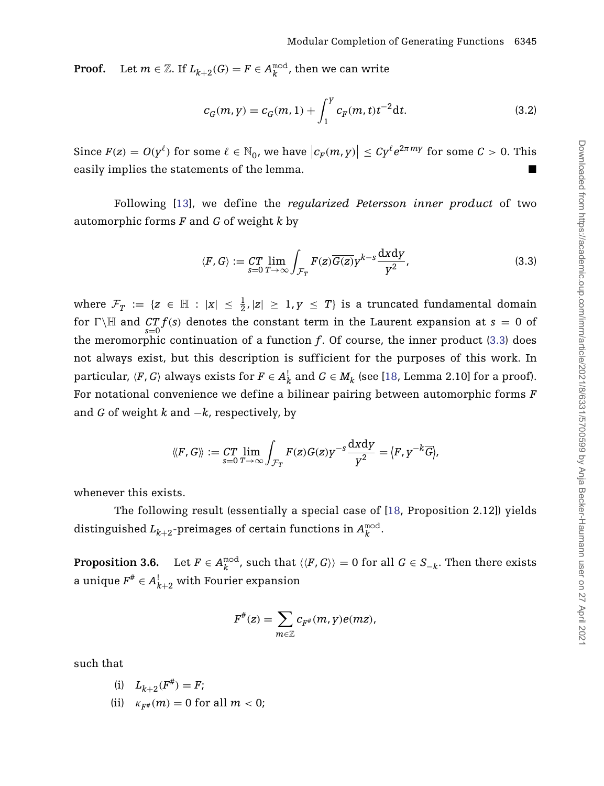**Proof.** Let  $m \in \mathbb{Z}$ . If  $L_{k+2}(G) = F \in A_k^{\text{mod}}$ , then we can write

<span id="page-14-2"></span>
$$
c_G(m, y) = c_G(m, 1) + \int_1^y c_F(m, t) t^{-2} dt.
$$
 (3.2)

Since  $F(z) = O(y^{\ell})$  for some  $\ell \in \mathbb{N}_0$ , we have  $|c_F(m, y)| \leq C y^{\ell} e^{2\pi m y}$  for some  $C > 0$ . This easily implies the statements of the lemma.

Following [\[13\]](#page-40-10), we define the *regularized Petersson inner product* of two automorphic forms *F* and *G* of weight *k* by

<span id="page-14-0"></span>
$$
\langle F, G \rangle := \mathop{CT}_{s=0} \lim_{T \to \infty} \int_{\mathcal{F}_T} F(z) \overline{G(z)} y^{k-s} \frac{\mathrm{d}x \mathrm{d}y}{y^2},\tag{3.3}
$$

where  $\mathcal{F}_T$  := { $z \in \mathbb{H}$  :  $|x| \leq \frac{1}{2}$ , $|z| \geq 1$ , $y \leq T$ } is a truncated fundamental domain for  $\Gamma \backslash \mathbb{H}$  and  $CTf(s)$  denotes the constant term in the Laurent expansion at  $s = 0$  of the meromorphic continuation of a function *f*. Of course, the inner product [\(3.3\)](#page-14-0) does not always exist, but this description is sufficient for the purposes of this work. In particular, *{F, G*} always exists for  $F \in A_k^!$  and  $G \in M_k$  (see [\[18,](#page-40-4) Lemma 2.10] for a proof). For notational convenience we define a bilinear pairing between automorphic forms *F* and *G* of weight *k* and −*k*, respectively, by

$$
\langle F, G \rangle := \mathop{CT}_{s=0} \lim_{T \to \infty} \int_{\mathcal{F}_T} F(z) G(z) y^{-s} \frac{\mathrm{d} x \mathrm{d} y}{y^2} = \langle F, y^{-k} \overline{G} \rangle,
$$

whenever this exists.

The following result (essentially a special case of [\[18,](#page-40-4) Proposition 2.12]) yields distinguished  $L_{k+2}$ -preimages of certain functions in  $A_k^{\text{mod}}$ .

<span id="page-14-1"></span>**Proposition 3.6.** Let  $F \in A_k^{\text{mod}}$ , such that  $\langle \langle F, G \rangle \rangle = 0$  for all  $G \in S_{-k}$ . Then there exists a unique  $F^{\#} \in A_{k+2}^!$  with Fourier expansion

$$
F^{\#}(z) = \sum_{m \in \mathbb{Z}} c_{F^{\#}}(m, y) e(mz),
$$

such that

(i) 
$$
L_{k+2}(F^{\#}) = F;
$$

(ii)  $\kappa_{F^*}(m) = 0$  for all  $m < 0$ ;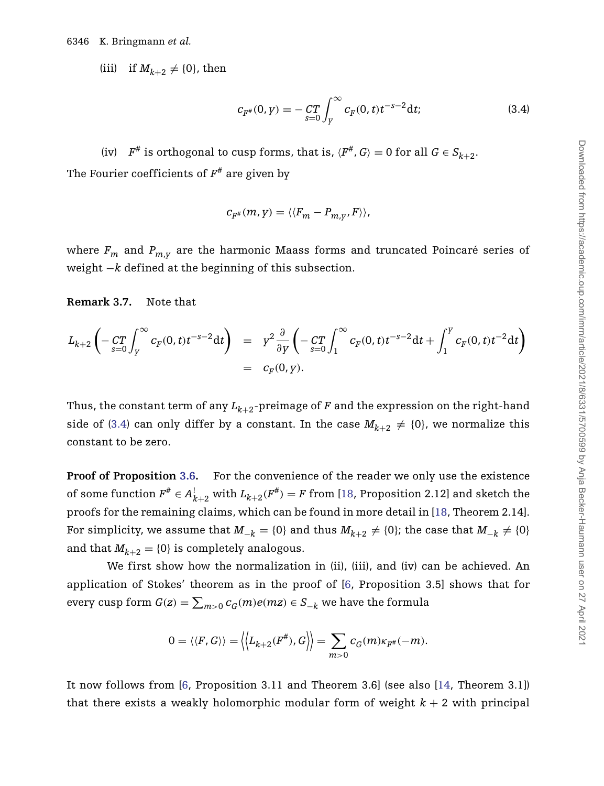(iii) if  $M_{k+2} \neq \{0\}$ , then

<span id="page-15-0"></span>
$$
c_{F^{\#}}(0, y) = -\mathop{CT}_{s=0} \int_{Y}^{\infty} c_{F}(0, t) t^{-s-2} dt;
$$
\n(3.4)

(iv)  $F^{\#}$  is orthogonal to cusp forms, that is,  $\langle F^{\#}, G \rangle = 0$  for all  $G \in S_{k+2}$ . The Fourier coefficients of  $F^*$  are given by

$$
c_{F^{\#}}(m, y) = \langle \langle F_m - P_{m, y}, F \rangle \rangle,
$$

where  $F_m$  and  $P_{m,\nu}$  are the harmonic Maass forms and truncated Poincaré series of weight −*k* defined at the beginning of this subsection.

## **Remark 3.7.** Note that

$$
L_{k+2}\left(-\frac{CT}{s=0}\int_{Y}^{\infty}c_{F}(0,t)t^{-s-2}dt\right) = Y^{2}\frac{\partial}{\partial y}\left(-\frac{CT}{s=0}\int_{1}^{\infty}c_{F}(0,t)t^{-s-2}dt+\int_{1}^{Y}c_{F}(0,t)t^{-2}dt\right)
$$
  
=  $c_{F}(0,y).$ 

Thus, the constant term of any  $L_{k+2}$ -preimage of *F* and the expression on the right-hand side of [\(3.4\)](#page-15-0) can only differ by a constant. In the case  $M_{k+2} \neq \{0\}$ , we normalize this constant to be zero.

**Proof of Proposition [3.6.](#page-14-1)** For the convenience of the reader we only use the existence of some function  $F^{\#} \in A_{k+2}^!$  with  $L_{k+2}(F^{\#}) = F$  from [\[18,](#page-40-4) Proposition 2.12] and sketch the proofs for the remaining claims, which can be found in more detail in [\[18,](#page-40-4) Theorem 2.14]. For simplicity, we assume that  $M_{-k} = \{0\}$  and thus  $M_{k+2} \neq \{0\}$ ; the case that  $M_{-k} \neq \{0\}$ and that  $M_{k+2} = \{0\}$  is completely analogous.

We first show how the normalization in (ii), (iii), and (iv) can be achieved. An application of Stokes' theorem as in the proof of [\[6,](#page-40-5) Proposition 3.5] shows that for every cusp form  $G(z) = \sum_{m>0} c_G(m) e(mz) \in S_{-k}$  we have the formula

$$
0 = \langle \langle F, G \rangle \rangle = \langle L_{k+2}(F^{\#}), G \rangle = \sum_{m>0} c_G(m) \kappa_{F^{\#}}(-m).
$$

It now follows from [\[6,](#page-40-5) Proposition 3.11 and Theorem 3.6] (see also [\[14,](#page-40-11) Theorem 3.1]) that there exists a weakly holomorphic modular form of weight  $k + 2$  with principal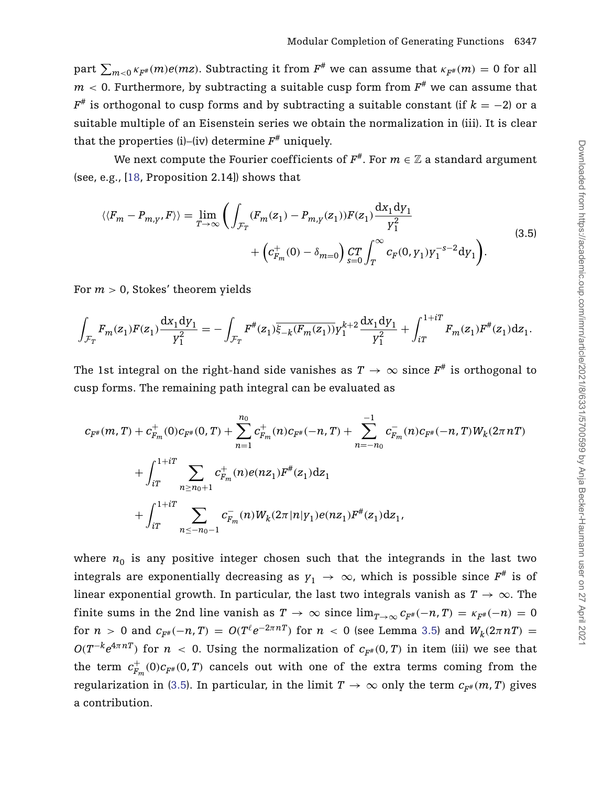$\sum_{m < 0} \kappa_{F^\#}(m) e(mz)$ . Subtracting it from  $F^\#$  we can assume that  $\kappa_{F^\#}(m) = 0$  for all  $m < 0$ . Furthermore, by subtracting a suitable cusp form from  $F^*$  we can assume that  $F^*$  is orthogonal to cusp forms and by subtracting a suitable constant (if  $k = -2$ ) or a suitable multiple of an Eisenstein series we obtain the normalization in (iii). It is clear that the properties (i)–(iv) determine  $F^*$  uniquely.

We next compute the Fourier coefficients of  $F^*$ . For  $m \in \mathbb{Z}$  a standard argument (see, e.g., [\[18,](#page-40-4) Proposition 2.14]) shows that

<span id="page-16-0"></span>
$$
\langle\langle F_m - P_{m,y}, F \rangle\rangle = \lim_{T \to \infty} \left( \int_{\mathcal{F}_T} (F_m(z_1) - P_{m,y}(z_1)) F(z_1) \frac{dx_1 dy_1}{y_1^2} + \left( c_{F_m}^+(0) - \delta_{m=0} \right) \lim_{s=0} \int_T^{\infty} c_F(0, y_1) y_1^{-s-2} dy_1 \right). \tag{3.5}
$$

For *m >* 0, Stokes' theorem yields

$$
\int_{\mathcal{F}_T} F_m(z_1) F(z_1) \frac{dx_1 dy_1}{y_1^2} = -\int_{\mathcal{F}_T} F^{\#}(z_1) \overline{\xi_{-k}(F_m(z_1))} y_1^{k+2} \frac{dx_1 dy_1}{y_1^2} + \int_{iT}^{1+iT} F_m(z_1) F^{\#}(z_1) dz_1.
$$

The 1st integral on the right-hand side vanishes as  $T \to \infty$  since  $F^*$  is orthogonal to cusp forms. The remaining path integral can be evaluated as

$$
c_{F^{\#}}(m,T) + c_{F_m}^+(0)c_{F^{\#}}(0,T) + \sum_{n=1}^{n_0} c_{F_m}^+(n)c_{F^{\#}}(-n,T) + \sum_{n=-n_0}^{-1} c_{F_m}^-(n)c_{F^{\#}}(-n,T)W_k(2\pi nT) + \int_{iT}^{1+iT} \sum_{n \ge n_0+1} c_{F_m}^+(n)e(nz_1)F^{\#}(z_1)dz_1 + \int_{iT}^{1+iT} \sum_{n \le -n_0-1} c_{F_m}^-(n)W_k(2\pi |n|y_1)e(nz_1)F^{\#}(z_1)dz_1,
$$

where  $n_0$  is any positive integer chosen such that the integrands in the last two integrals are exponentially decreasing as  $y_1 \rightarrow \infty$ , which is possible since  $F^*$  is of linear exponential growth. In particular, the last two integrals vanish as  $T \to \infty$ . The finite sums in the 2nd line vanish as  $T \to \infty$  since  $\lim_{T \to \infty} c_{F^*}(-n, T) = \kappa_{F^*}(-n) = 0$ for  $n > 0$  and  $c_{F^*}(-n, T) = O(T^{\ell}e^{-2\pi nT})$  for  $n < 0$  (see Lemma [3.5\)](#page-13-0) and  $W_k(2\pi nT) =$ *O*( $T^{-k}e^{4\pi nT}$ ) for *n* < 0. Using the normalization of  $c_{F^{\#}}(0,T)$  in item (iii) we see that the term  $c_{F_m}^+(0)c_{F^{\#}}(0,T)$  cancels out with one of the extra terms coming from the regularization in [\(3.5\)](#page-16-0). In particular, in the limit  $T \to \infty$  only the term  $c_{F#}(m, T)$  gives a contribution.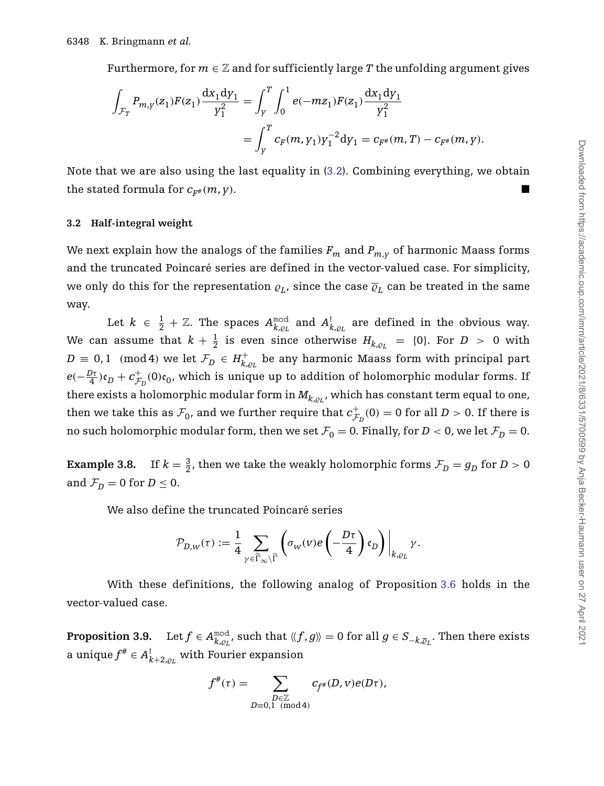Furthermore, for  $m \in \mathbb{Z}$  and for sufficiently large T the unfolding argument gives

$$
\begin{split} \int_{\mathcal{F}_T} P_{m,\boldsymbol{\gamma}}(z_1) F(z_1) \frac{\mathrm{d} x_1 \mathrm{d} y_1}{y_1^2} &= \int_{\boldsymbol{\gamma}}^T \int_0^1 e(-m z_1) F(z_1) \frac{\mathrm{d} x_1 \mathrm{d} y_1}{y_1^2} \\ &= \int_{\boldsymbol{\gamma}}^T c_F(m,\boldsymbol{\gamma}_1) y_1^{-2} \mathrm{d} y_1 = c_{F^\#}(m,T) - c_{F^\#}(m,\boldsymbol{\gamma}). \end{split}
$$

Note that we are also using the last equality in [\(3.2\)](#page-14-2). Combining everything, we obtain the stated formula for  $c_{F^*}(m, y)$ .

#### **3.2 Half-integral weight**

We next explain how the analogs of the families  $F_m$  and  $P_{m,y}$  of harmonic Maass forms and the truncated Poincaré series are defined in the vector-valued case. For simplicity, we only do this for the representation  $\rho_L$ , since the case  $\overline{\rho}_L$  can be treated in the same way.

Let  $k \in \frac{1}{2} + \mathbb{Z}$ . The spaces  $A_{k, \varrho_L}^{\rm mod}$  and  $A_{k, \varrho_L}^{\rm !}$  are defined in the obvious way. We can assume that  $k + \frac{1}{2}$  is even since otherwise  $H_{k,\varrho_L}$  = {0}. For  $D$  > 0 with  $D \equiv 0,1 \pmod{4}$  we let  $\mathcal{F}_D \in H^+_{k,\varrho_L}$  be any harmonic Maass form with principal part  $e(-\frac{D\tau}{4})\mathfrak{e}_D + c_{\mathcal{F}_D}^+(0)\mathfrak{e}_0$ , which is unique up to addition of holomorphic modular forms. If there exists a holomorphic modular form in  $M_{k.o.t}$ , which has constant term equal to one, then we take this as  $\mathcal{F}_0$ , and we further require that  $c_{\mathcal{F}_D}^+(0) = 0$  for all  $D > 0$ . If there is no such holomorphic modular form, then we set  $\mathcal{F}_0 = 0$ . Finally, for  $D < 0$ , we let  $\mathcal{F}_D = 0$ .

**Example 3.8.** If  $k = \frac{3}{2}$ , then we take the weakly holomorphic forms  $\mathcal{F}_D = g_D$  for  $D > 0$ and  $\mathcal{F}_D = 0$  for  $D \leq 0$ .

We also define the truncated Poincaré series

$$
\mathcal{P}_{D,W}(\tau) := \frac{1}{4} \sum_{\gamma \in \widetilde{\Gamma}_{\infty} \backslash \widetilde{\Gamma}} \left( \sigma_W(v) e\left( -\frac{D\tau}{4} \right) \mathfrak{e}_D \right) \bigg|_{k, \varrho_L} \gamma.
$$

With these definitions, the following analog of Proposition [3.6](#page-14-1) holds in the vector-valued case.

<span id="page-17-0"></span> ${\bf Proposition 3.9.} \quad \text{Let } f \in A_{k,\varrho_L}^{\rm mod}, \text{ such that } \langle\!\langle f,g\rangle\!\rangle = 0 \text{ for all } g \in S_{-k,\overline{\varrho}_L}. \text{ Then there exists }$ a unique  $f^\# \in A^!_{k+2,\varrho_L}$  with Fourier expansion

$$
f^\#(\tau) = \sum_{\substack{D \in \mathbb{Z} \\ D \equiv 0,1 \pmod{4}}} c_{f^\#}(D,v) e(D\tau),
$$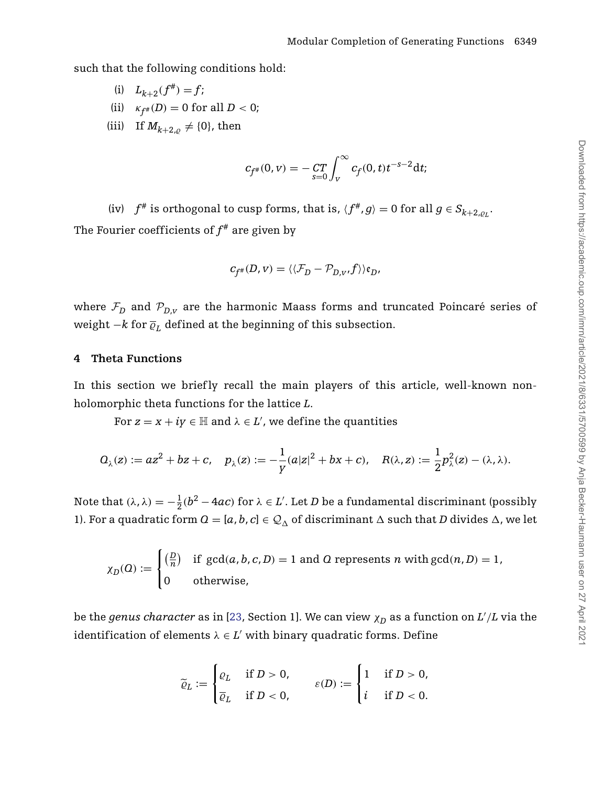such that the following conditions hold:

- (i)  $L_{k+2}(f^{\#}) = f$ ;
- (ii)  $\kappa_{f^*}(D) = 0$  for all  $D < 0$ ;
- (iii) If  $M_{k+2,\rho} \neq \{0\}$ , then

$$
c_{f^{\#}}(0, v) = -\int_{s=0}^{T} \int_{v}^{\infty} c_f(0, t) t^{-s-2} dt;
$$

(iv)  $f^*$  is orthogonal to cusp forms, that is,  $\langle f^*, g \rangle = 0$  for all  $g \in S_{k+2,0}$ . The Fourier coefficients of  $f^*$  are given by

$$
c_{f^*}(D, v) = \langle \langle \mathcal{F}_D - \mathcal{P}_{D, v}, f \rangle \rangle \mathfrak{e}_D,
$$

where  $\mathcal{F}_D$  and  $\mathcal{P}_{D,\nu}$  are the harmonic Maass forms and truncated Poincaré series of weight  $-k$  for  $\overline{\varrho}_L$  defined at the beginning of this subsection.

### <span id="page-18-0"></span>**4 Theta Functions**

In this section we briefly recall the main players of this article, well-known nonholomorphic theta functions for the lattice *L*.

For  $z = x + iy \in \mathbb{H}$  and  $\lambda \in L'$ , we define the quantities

$$
\mathcal{Q}_{\lambda}(z):=az^2+bz+c,\quad p_{\lambda}(z):=-\frac{1}{\gamma}(a|z|^2+bx+c),\quad R(\lambda,z):=\frac{1}{2}p_{\lambda}^2(z)-(\lambda,\lambda).
$$

Note that  $(\lambda, \lambda) = -\frac{1}{2}(b^2 - 4ac)$  for  $\lambda \in L'$ . Let *D* be a fundamental discriminant (possibly 1). For a quadratic form  $Q = [a, b, c] \in \mathcal{Q}_{\Delta}$  of discriminant  $\Delta$  such that *D* divides  $\Delta$ , we let

$$
\chi_D(Q) := \begin{cases}\n\left(\frac{D}{n}\right) & \text{if } \gcd(a, b, c, D) = 1 \text{ and } Q \text{ represents } n \text{ with } \gcd(n, D) = 1, \\
0 & \text{otherwise,}\n\end{cases}
$$

be the  $genus$   $character$  as in [\[23,](#page-41-3) Section 1]. We can view  $\chi_D$  as a function on  $L'/L$  via the identification of elements  $\lambda \in L'$  with binary quadratic forms. Define

$$
\widetilde{\varrho}_L := \begin{cases} \varrho_L & \text{if } D > 0, \\ \overline{\varrho}_L & \text{if } D < 0, \end{cases} \qquad \varepsilon(D) := \begin{cases} 1 & \text{if } D > 0, \\ i & \text{if } D < 0. \end{cases}
$$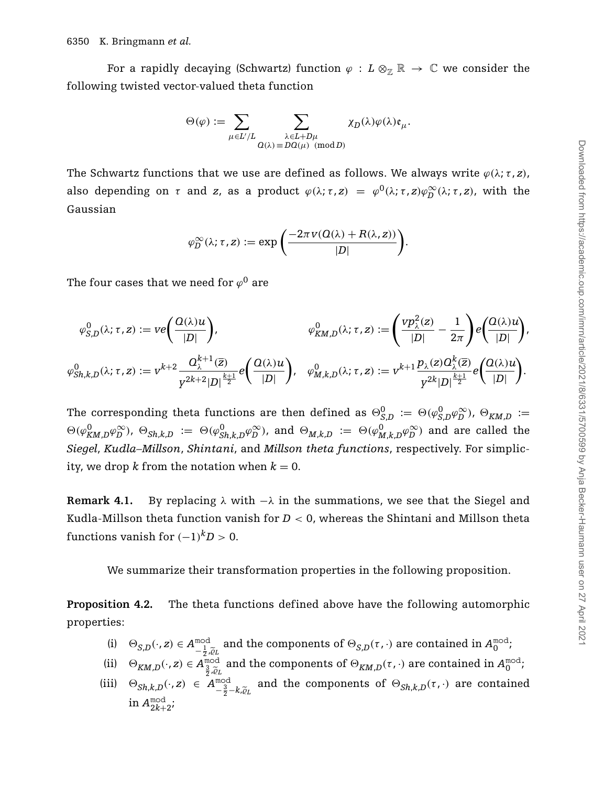For a rapidly decaying (Schwartz) function  $\varphi : L \otimes_{\mathbb{Z}} \mathbb{R} \to \mathbb{C}$  we consider the following twisted vector-valued theta function

$$
\Theta(\varphi):=\sum_{\mu\in L'/L}\sum_{\substack{\lambda\in L+D\mu\\ \varOmega(\lambda)\equiv DO(\mu)\pmod{D}}}\chi_D(\lambda)\varphi(\lambda)\mathfrak{e}_{\mu}.
$$

The Schwartz functions that we use are defined as follows. We always write  $\varphi(\lambda; \tau, z)$ , also depending on  $\tau$  and  $z$ , as a product  $\varphi(\lambda; \tau, z) = \varphi^0(\lambda; \tau, z) \varphi_D^\infty(\lambda; \tau, z)$ , with the Gaussian

$$
\varphi_D^{\infty}(\lambda; \tau, z) := \exp\bigg(\frac{-2\pi v(0(\lambda) + R(\lambda, z))}{|D|}\bigg).
$$

The four cases that we need for  $\varphi^0$  are

$$
\varphi_{S,D}^0(\lambda;\tau,z) := ve\left(\frac{\Omega(\lambda)u}{|D|}\right), \qquad \varphi_{KM,D}^0(\lambda;\tau,z) := \left(\frac{vp_\lambda^2(z)}{|D|} - \frac{1}{2\pi}\right)e\left(\frac{\Omega(\lambda)u}{|D|}\right),
$$
  

$$
\varphi_{Sh,k,D}^0(\lambda;\tau,z) := v^{k+2}\frac{\Omega_\lambda^{k+1}(\overline{z})}{y^{2k+2}|D|^{\frac{k+1}{2}}}e\left(\frac{\Omega(\lambda)u}{|D|}\right), \quad \varphi_{M,k,D}^0(\lambda;\tau,z) := v^{k+1}\frac{p_\lambda(z)\Omega_\lambda^k(\overline{z})}{y^{2k}|D|^{\frac{k+1}{2}}}e\left(\frac{\Omega(\lambda)u}{|D|}\right).
$$

The corresponding theta functions are then defined as  $\Theta_{S,D}^0 := \Theta(\varphi_{S,D}^0 \varphi_D^\infty)$ ,  $\Theta_{K M,D} :=$  $\Theta(\varphi_{KM,D}^0 \varphi_D^{\infty})$ ,  $\Theta_{Sh,k,D} := \Theta(\varphi_{Sh,k,D}^0 \varphi_D^{\infty})$ , and  $\Theta_{M,k,D} := \Theta(\varphi_{M,k,D}^0 \varphi_D^{\infty})$  and are called the *Siegel*, *Kudla–Millson*, *Shintani*, and *Millson theta functions*, respectively. For simplicity, we drop k from the notation when  $k = 0$ .

**Remark 4.1.** By replacing  $\lambda$  with  $-\lambda$  in the summations, we see that the Siegel and Kudla-Millson theta function vanish for  $D < 0$ , whereas the Shintani and Millson theta functions vanish for  $(-1)^k D > 0$ .

We summarize their transformation properties in the following proposition.

**Proposition 4.2.** The theta functions defined above have the following automorphic properties:

- (i)  $\Theta_{S,D}(\cdot, z) \in A_{-\frac{1}{2}, \widetilde{\varrho}_L}^{\text{mod}}$ <br>
∴ and the components of  $\Theta_{S,D}(\tau, \cdot)$  are contained in  $A_0^{\text{mod}}$ ;
- (ii)  $\Theta_{KM,D}(\cdot, z) \in A_{\frac{3}{2},\tilde{\varrho}_L}^{\text{mod}}$ and the components of  $\Theta_{KM,D}(\tau, \cdot)$  are contained in  $A_0^{\text{mod}}$ ;
- (iii)  $\Theta_{Sh,k,D}(\cdot,z) \in A^{\text{mod}}_{-\frac{3}{2}-k,\tilde{\varrho}_L}$  and the components of  $\Theta_{Sh,k,D}(\tau,\cdot)$  are contained in  $A_{2k+2}^{\text{mod}}$ ;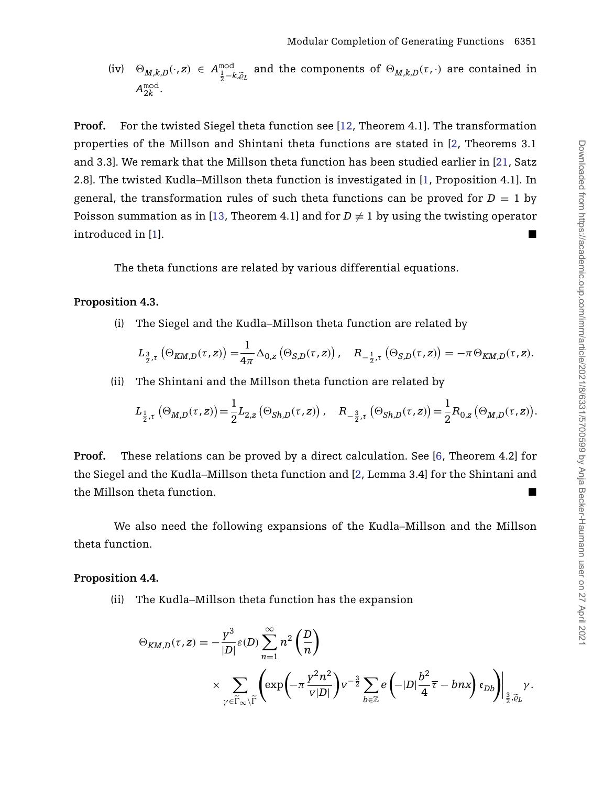(iv) 
$$
\Theta_{M,k,D}(\cdot, z) \in A^{\text{mod}}_{\frac{1}{2}-k,\tilde{\varrho}_L}
$$
 and the components of  $\Theta_{M,k,D}(\tau, \cdot)$  are contained in  $A^{\text{mod}}_{2k}$ .

**Proof.** For the twisted Siegel theta function see [\[12,](#page-40-12) Theorem 4.1]. The transformation properties of the Millson and Shintani theta functions are stated in [\[2,](#page-40-13) Theorems 3.1 and 3.3]. We remark that the Millson theta function has been studied earlier in [\[21,](#page-40-14) Satz 2.8]. The twisted Kudla–Millson theta function is investigated in [\[1,](#page-39-0) Proposition 4.1]. In general, the transformation rules of such theta functions can be proved for  $D = 1$  by Poisson summation as in [\[13,](#page-40-10) Theorem 4.1] and for  $D \neq 1$  by using the twisting operator introduced in [\[1\]](#page-39-0).

The theta functions are related by various differential equations.

## <span id="page-20-0"></span>**Proposition 4.3.**

(i) The Siegel and the Kudla–Millson theta function are related by

$$
L_{\frac{3}{2},\tau}\left(\Theta_{KM,D}(\tau,z)\right) = \frac{1}{4\pi} \Delta_{0,z}\left(\Theta_{S,D}(\tau,z)\right), \quad R_{-\frac{1}{2},\tau}\left(\Theta_{S,D}(\tau,z)\right) = -\pi \Theta_{KM,D}(\tau,z).
$$

(ii) The Shintani and the Millson theta function are related by

$$
L_{\frac{1}{2},\tau}\left(\Theta_{M,D}(\tau,z)\right) = \frac{1}{2}L_{2,z}\left(\Theta_{Sh,D}(\tau,z)\right), \quad R_{-\frac{3}{2},\tau}\left(\Theta_{Sh,D}(\tau,z)\right) = \frac{1}{2}R_{0,z}\left(\Theta_{M,D}(\tau,z)\right).
$$

**Proof.** These relations can be proved by a direct calculation. See [\[6,](#page-40-5) Theorem 4.2] for the Siegel and the Kudla–Millson theta function and [\[2,](#page-40-13) Lemma 3.4] for the Shintani and the Millson theta function. -

We also need the following expansions of the Kudla–Millson and the Millson theta function.

#### <span id="page-20-1"></span>**Proposition 4.4.**

(ii) The Kudla–Millson theta function has the expansion

$$
\Theta_{KM,D}(\tau,z) = -\frac{y^3}{|D|} \varepsilon(D) \sum_{n=1}^{\infty} n^2 \left(\frac{D}{n}\right)
$$
  
\$\times \sum\_{\gamma \in \widetilde{\Gamma}\_{\infty} \backslash \widetilde{\Gamma}} \left(\exp\left(-\pi \frac{y^2 n^2}{v|D|}\right) v^{-\frac{3}{2}} \sum\_{b \in \mathbb{Z}} e\left(-|D| \frac{b^2}{4} \overline{\tau} - b n x\right) \mathfrak{e}\_{Db}\right)\Big|\_{\frac{3}{2}, \widetilde{\varrho}\_L} \gamma\$.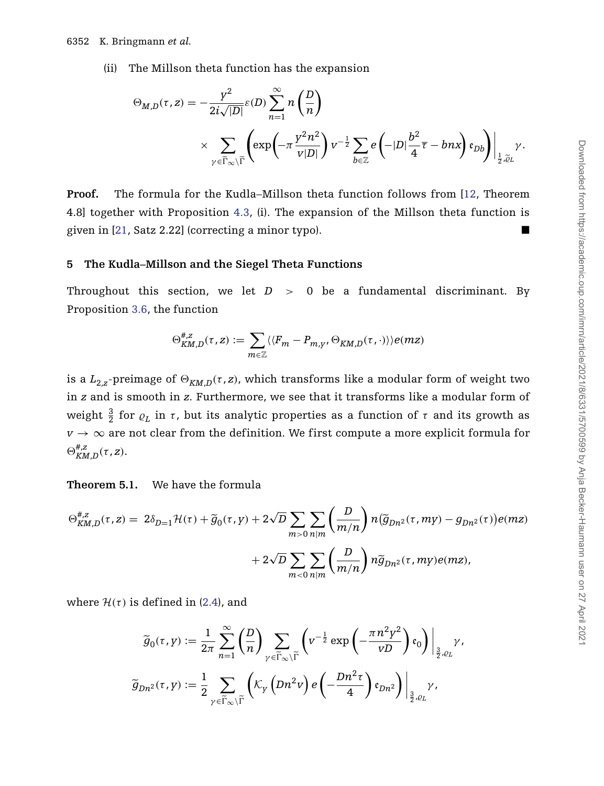(ii) The Millson theta function has the expansion

$$
\Theta_{M,D}(\tau,z) = -\frac{\gamma^2}{2i\sqrt{|D|}} \varepsilon(D) \sum_{n=1}^{\infty} n\left(\frac{D}{n}\right)
$$
  
\$\times \sum\_{\gamma \in \widetilde{\Gamma}\_{\infty} \backslash \widetilde{\Gamma}} \left(\exp\left(-\pi \frac{\gamma^2 n^2}{v|D|}\right) v^{-\frac{1}{2}} \sum\_{b \in \mathbb{Z}} e\left(-|D| \frac{b^2}{4} \overline{\tau} - b n x\right) \mathfrak{e}\_{Db}\right)\Big|\_{\frac{1}{2}, \widetilde{\varrho}\_{L}}} \gamma\$.

**Proof.** The formula for the Kudla–Millson theta function follows from [\[12,](#page-40-12) Theorem 4.8] together with Proposition [4.3,](#page-20-0) (i). The expansion of the Millson theta function is given in  $[21, Satz 2.22]$  $[21, Satz 2.22]$  (correcting a minor typo).

#### <span id="page-21-1"></span>**5 The Kudla–Millson and the Siegel Theta Functions**

Throughout this section, we let  $D > 0$  be a fundamental discriminant. By Proposition [3.6,](#page-14-1) the function

$$
\Theta_{K\!M,D}^{\#,z}(\tau,z):=\sum_{m\in\mathbb{Z}}\langle\langle F_m-P_{m,\gamma},\Theta_{K\!M,D}(\tau,\cdot)\rangle\rangle e(mz)
$$

is a  $L_{2,z}$ -preimage of  $\Theta_{KM,D}(\tau, z)$ , which transforms like a modular form of weight two in *z* and is smooth in *z*. Furthermore, we see that it transforms like a modular form of weight  $\frac{3}{2}$  for  $\varrho_L$  in *τ*, but its analytic properties as a function of *τ* and its growth as  $v \rightarrow \infty$  are not clear from the definition. We first compute a more explicit formula for  $\Theta_{KM,D}^{\#,\mathrm{z}}(\tau,\mathrm{z}).$ 

<span id="page-21-0"></span>**Theorem 5.1.** We have the formula

$$
\Theta_{KM,D}^{\#,z}(\tau,z) = 2\delta_{D=1}\mathcal{H}(\tau) + \widetilde{g}_0(\tau,y) + 2\sqrt{D}\sum_{m>0}\sum_{n|m} \left(\frac{D}{m/n}\right) n(\widetilde{g}_{Dn^2}(\tau, my) - g_{Dn^2}(\tau))e(mz) + 2\sqrt{D}\sum_{m<0}\sum_{n|m} \left(\frac{D}{m/n}\right) n\widetilde{g}_{Dn^2}(\tau, my)e(mz),
$$

where  $\mathcal{H}(\tau)$  is defined in [\(2.4\)](#page-11-1), and

$$
\widetilde{g}_{0}(\tau,y) := \frac{1}{2\pi} \sum_{n=1}^{\infty} \left(\frac{D}{n}\right) \sum_{\gamma \in \widetilde{\Gamma}_{\infty} \backslash \widetilde{\Gamma}} \left(v^{-\frac{1}{2}} \exp\left(-\frac{\pi n^2 y^2}{vD}\right) \mathfrak{e}_0\right) \Big|_{\frac{3}{2},\varrho_L} \gamma,
$$
  

$$
\widetilde{g}_{Dn^2}(\tau,y) := \frac{1}{2} \sum_{\gamma \in \widetilde{\Gamma}_{\infty} \backslash \widetilde{\Gamma}} \left(\mathcal{K}_{\gamma}\left(Dn^2 v\right) e\left(-\frac{Dn^2 \tau}{4}\right) \mathfrak{e}_{Dn^2}\right) \Big|_{\frac{3}{2},\varrho_L} \gamma,
$$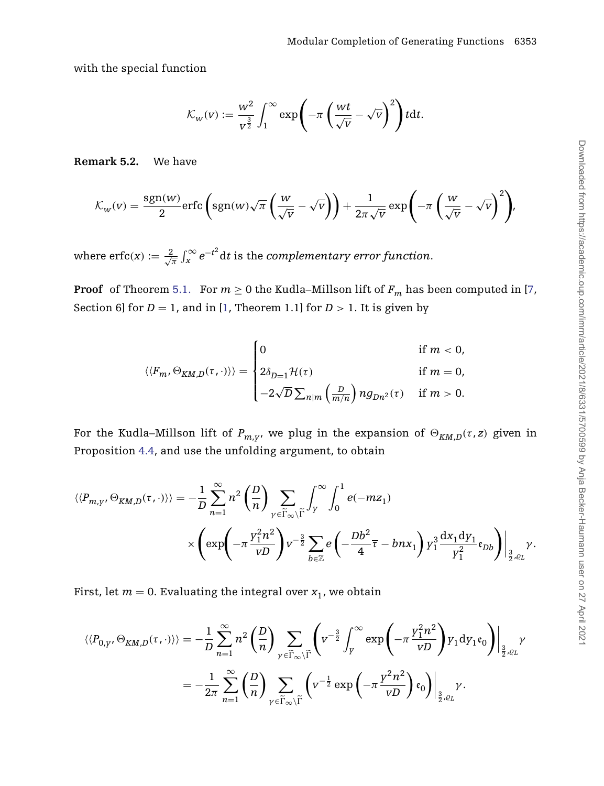with the special function

$$
\mathcal{K}_{w}(v) := \frac{w^2}{v^{\frac{3}{2}}} \int_1^{\infty} \exp\left(-\pi \left(\frac{wt}{\sqrt{v}} - \sqrt{v}\right)^2\right) t dt.
$$

**Remark 5.2.** We have

$$
\mathcal{K}_{w}(v) = \frac{\text{sgn}(w)}{2} \text{erfc}\left(\text{sgn}(w)\sqrt{\pi}\left(\frac{w}{\sqrt{v}} - \sqrt{v}\right)\right) + \frac{1}{2\pi\sqrt{v}} \exp\left(-\pi\left(\frac{w}{\sqrt{v}} - \sqrt{v}\right)^{2}\right),
$$

where  $\text{erfc}(x) := \frac{2}{\sqrt{3}}$  $\frac{d}{dt} \int_{\rm x}^{\infty} e^{-t^2} {\rm d}t$  is the *complementary error function*.

**Proof** of Theorem [5.1.](#page-21-0) For  $m \ge 0$  the Kudla–Millson lift of  $F_m$  has been computed in [\[7,](#page-40-6) Section 6] for  $D = 1$ , and in [\[1,](#page-39-0) Theorem 1.1] for  $D > 1$ . It is given by

$$
\langle\langle F_m, \Theta_{KM,D}(\tau, \cdot) \rangle\rangle = \begin{cases} 0 & \text{if } m < 0, \\ 2\delta_{D=1} \mathcal{H}(\tau) & \text{if } m = 0, \\ -2\sqrt{D} \sum_{n|m} \left(\frac{D}{m/n}\right) n g_{Dn^2}(\tau) & \text{if } m > 0. \end{cases}
$$

For the Kudla–Millson lift of  $P_{m,r}$ , we plug in the expansion of  $\Theta_{KM,D}(\tau,z)$  given in Proposition [4.4,](#page-20-1) and use the unfolding argument, to obtain

$$
\langle \langle P_{m,y}, \Theta_{KM,D}(\tau, \cdot) \rangle \rangle = -\frac{1}{D} \sum_{n=1}^{\infty} n^2 \left( \frac{D}{n} \right) \sum_{\gamma \in \widetilde{\Gamma}_{\infty} \backslash \widetilde{\Gamma}} \int_{y}^{\infty} \int_{0}^{1} e(-m z_1) \times \left( \exp \left( -\pi \frac{Y_1^2 n^2}{\nu D} \right) v^{-\frac{3}{2}} \sum_{b \in \mathbb{Z}} e \left( -\frac{Db^2}{4} \overline{\tau} - b n x_1 \right) y_1^3 \frac{dx_1 dy_1}{y_1^2} \mathfrak{e}_{Db} \right) \Big|_{\frac{3}{2}, \ell L} \gamma.
$$

First, let  $m = 0$ . Evaluating the integral over  $x_1$ , we obtain

$$
\langle \langle P_{0,y}, \Theta_{KM,D}(\tau, \cdot) \rangle \rangle = -\frac{1}{D} \sum_{n=1}^{\infty} n^2 \left( \frac{D}{n} \right) \sum_{\gamma \in \widetilde{\Gamma}_{\infty} \backslash \widetilde{\Gamma}} \left( v^{-\frac{3}{2}} \int_{y}^{\infty} \exp \left( -\pi \frac{y_1^2 n^2}{\nu D} \right) y_1 \, dy_1 \mathfrak{e}_0 \right) \Big|_{\frac{3}{2}, \varrho_L} \gamma
$$
  
= 
$$
-\frac{1}{2\pi} \sum_{n=1}^{\infty} \left( \frac{D}{n} \right) \sum_{\gamma \in \widetilde{\Gamma}_{\infty} \backslash \widetilde{\Gamma}} \left( v^{-\frac{1}{2}} \exp \left( -\pi \frac{y^2 n^2}{\nu D} \right) \mathfrak{e}_0 \right) \Big|_{\frac{3}{2}, \varrho_L} \gamma.
$$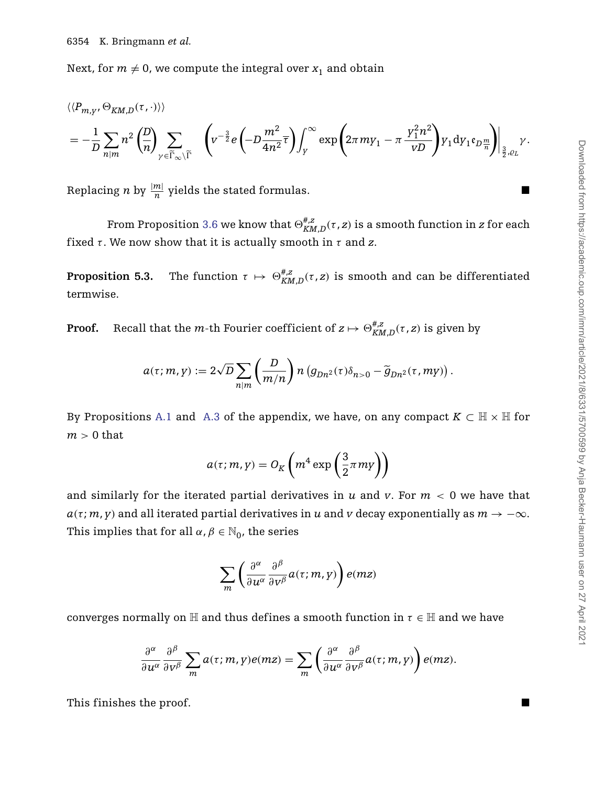Next, for  $m \neq 0$ , we compute the integral over  $x_1$  and obtain

$$
\begin{split} &\langle \langle P_{m, y}, \Theta_{KM, D}(\tau, \cdot) \rangle \rangle \\ & = - \frac{1}{D} \sum_{n \mid m} n^2 \left( \frac{D}{n} \right) \sum_{\gamma \in \widetilde{\Gamma}_{\infty} \backslash \widetilde{\Gamma}} \quad \left( v^{-\frac{3}{2}} e \left( -D \frac{m^2}{4n^2} \overline{\tau} \right) \int_{\gamma}^{\infty} \exp \left( 2 \pi m y_1 - \pi \frac{y_1^2 n^2}{vD} \right) y_1 \mathrm{d} y_1 \mathfrak{e}_{D \frac{m}{n}} \right) \Big|_{\frac{3}{2}, \varrho_L} \gamma. \end{split}
$$

Replacing *n* by  $\frac{|m|}{n}$  yields the stated formulas.

From Proposition [3.6](#page-14-1) we know that  $\oplus_{KM,D}^{\#,Z}(\tau,z)$  is a smooth function in  $z$  for each fixed  $\tau$ . We now show that it is actually smooth in  $\tau$  and  $z$ .

<span id="page-23-0"></span>**Proposition 5.3.** The function  $\tau \mapsto \Theta_{KM,D}^{\#,z}(\tau,z)$  is smooth and can be differentiated termwise.

**Proof.** Recall that the *m*-th Fourier coefficient of  $z \mapsto \Theta_{KM,D}^{\#,z}( \tau, z)$  is given by

$$
a(\tau; m, \gamma) := 2\sqrt{D} \sum_{n|m} \left(\frac{D}{m/n}\right) n \left(g_{Dn^2}(\tau)\delta_{n>0} - \widetilde{g}_{Dn^2}(\tau, m\gamma)\right).
$$

By Propositions [A.1](#page-33-0) and [A.3](#page-37-0) of the appendix, we have, on any compact  $K \subset \mathbb{H} \times \mathbb{H}$  for *m >* 0 that

$$
a(\tau; m, \mathbf{y}) = O_K\left(m^4 \exp\left(\frac{3}{2}\pi m\mathbf{y}\right)\right)
$$

and similarly for the iterated partial derivatives in  $u$  and  $v$ . For  $m < 0$  we have that  $a(\tau; m, \gamma)$  and all iterated partial derivatives in *u* and *v* decay exponentially as  $m \to -\infty$ . This implies that for all  $\alpha$ ,  $\beta \in \mathbb{N}_0$ , the series

$$
\sum_{m}\left(\frac{\partial^{\alpha}}{\partial u^{\alpha}}\frac{\partial^{\beta}}{\partial v^{\beta}}a(\tau;m,y)\right)e(mz)
$$

converges normally on  $\mathbb H$  and thus defines a smooth function in  $\tau \in \mathbb H$  and we have

$$
\frac{\partial^{\alpha}}{\partial u^{\alpha}} \frac{\partial^{\beta}}{\partial v^{\beta}} \sum_{m} a(\tau; m, y) e(mz) = \sum_{m} \left( \frac{\partial^{\alpha}}{\partial u^{\alpha}} \frac{\partial^{\beta}}{\partial v^{\beta}} a(\tau; m, y) \right) e(mz).
$$

This finishes the proof.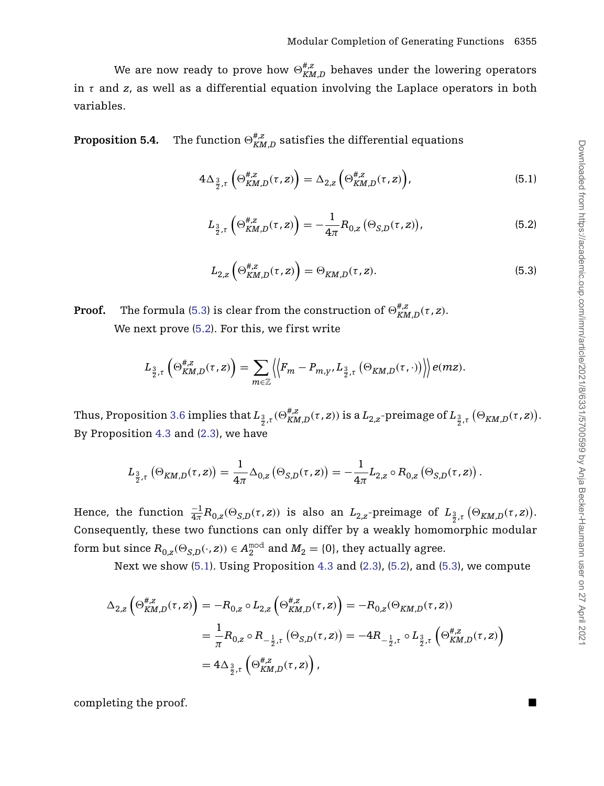We are now ready to prove how  $\Theta_{KM,D}^{\#,z}$  behaves under the lowering operators in *τ* and *z*, as well as a differential equation involving the Laplace operators in both variables.

<span id="page-24-0"></span>**Proposition 5.4.** The function  $\oplus_{KM,D}^{\#,z}$  satisfies the differential equations

$$
4\Delta_{\frac{3}{2},\tau}\left(\Theta_{KM,D}^{\#,z}(\tau,z)\right) = \Delta_{2,z}\left(\Theta_{KM,D}^{\#,z}(\tau,z)\right),\tag{5.1}
$$

<span id="page-24-3"></span>
$$
L_{\frac{3}{2},\tau} \left( \Theta_{KM,D}^{\#,z}(\tau,z) \right) = -\frac{1}{4\pi} R_{0,z} \left( \Theta_{S,D}(\tau,z) \right), \tag{5.2}
$$

$$
L_{2,z}\left(\Theta_{KM,D}^{\#,z}(\tau,z)\right) = \Theta_{KM,D}(\tau,z). \tag{5.3}
$$

<span id="page-24-2"></span><span id="page-24-1"></span>**Proof.** The formula [\(5.3\)](#page-24-1) is clear from the construction of  $\Theta_{KM,D}^{\#,z}(\tau,z)$ . We next prove [\(5.2\)](#page-24-2). For this, we first write

$$
L_{\frac{3}{2},\tau}\left(\Theta_{KM,D}^{\#,z}(\tau,z)\right)=\sum_{m\in\mathbb{Z}}\left\langle\left|F_m-P_{m,\gamma},L_{\frac{3}{2},\tau}\left(\Theta_{KM,D}(\tau,\cdot)\right)\right|\right\rangle e(mz).
$$

Thus, Proposition [3.6](#page-14-1) implies that  $L_{\frac32, \tau}(\Theta^{\#,Z}_{KM,D}(\tau,z))$  is a  $L_{2,z}$ -preimage of  $L_{\frac32, \tau}\left(\Theta_{KM,D}(\tau,z)\right)$ . By Proposition [4.3](#page-20-0) and [\(2.3\)](#page-10-0), we have

$$
L_{\frac{3}{2},\tau}\left(\Theta_{K\!M,D}(\tau,z)\right)=\frac{1}{4\pi}\Delta_{0,z}\left(\Theta_{S,D}(\tau,z)\right)=-\frac{1}{4\pi}L_{2,z}\circ R_{0,z}\left(\Theta_{S,D}(\tau,z)\right).
$$

Hence, the function  $\frac{-1}{4\pi}R_{0,z}(\Theta_{S,D}(\tau,z))$  is also an  $L_{2,z}$ -preimage of  $L_{\frac{3}{2},\tau}\left(\Theta_{KM,D}(\tau,z)\right)$ . Consequently, these two functions can only differ by a weakly homomorphic modular form but since  $R_{0,z}(\Theta_{S,D}(\cdot,z))\in A_2^{\text{mod}}$  and  $M_2=\{0\}$ , they actually agree.

Next we show [\(5.1\)](#page-24-3). Using Proposition [4.3](#page-20-0) and [\(2.3\)](#page-10-0), [\(5.2\)](#page-24-2), and [\(5.3\)](#page-24-1), we compute

$$
\begin{split} \Delta_{2,z}\left(\Theta_{KM,D}^{\#,z}(\tau,z)\right)&=-R_{0,z}\circ L_{2,z}\left(\Theta_{KM,D}^{\#,z}(\tau,z)\right)=-R_{0,z}(\Theta_{KM,D}(\tau,z))\\ &=\frac{1}{\pi}R_{0,z}\circ R_{-\frac{1}{2},\tau}\left(\Theta_{S,D}(\tau,z)\right)=-4R_{-\frac{1}{2},\tau}\circ L_{\frac{3}{2},\tau}\left(\Theta_{KM,D}^{\#,z}(\tau,z)\right)\\ &=4\Delta_{\frac{3}{2},\tau}\left(\Theta_{KM,D}^{\#,z}(\tau,z)\right), \end{split}
$$

completing the proof.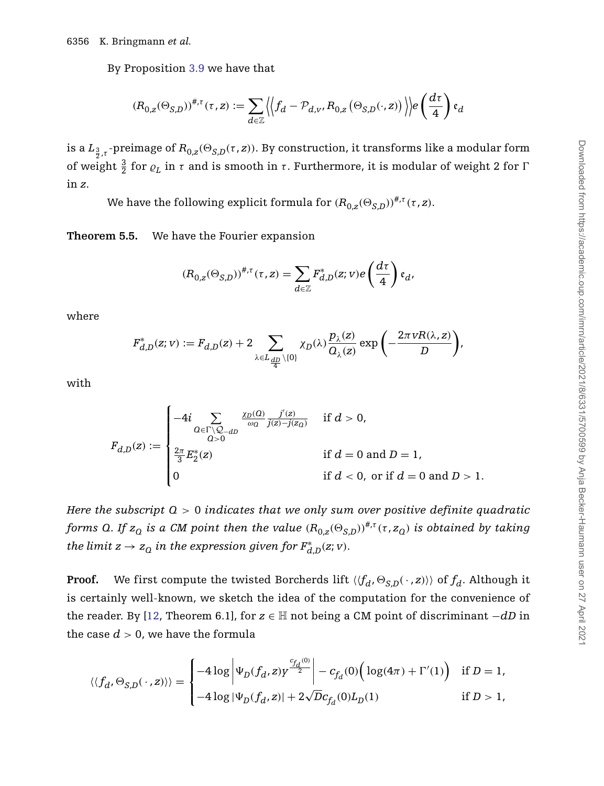By Proposition [3.9](#page-17-0) we have that

$$
\left(R_{0,z}(\Theta_{S,D})\right)^{\#,\tau}(\tau,z):=\sum_{d\in\mathbb{Z}}\left|\left\langle f_d-\mathcal{P}_{d,v},R_{0,z}\left(\Theta_{S,D}(\cdot,z)\right)\right\rangle\right|e\left(\frac{d\tau}{4}\right)\mathfrak{e}_d
$$

is a  $L_{\frac{3}{2},\tau}$ -preimage of  $R_{0,z}(\Theta_{S,D}(\tau,z))$ . By construction, it transforms like a modular form of weight  $\frac{3}{2}$  for  $\varrho_L$  in *τ* and is smooth in *τ*. Furthermore, it is modular of weight 2 for Γ in *z*.

We have the following explicit formula for  $(R_{0,z}(\Theta_{S,D}))^{\#,\tau}(\tau,z)$ .

<span id="page-25-0"></span>**Theorem 5.5.** We have the Fourier expansion

$$
(R_{0,z}(\Theta_{S,D}))^{\#,\tau}(\tau,z) = \sum_{d \in \mathbb{Z}} F_{d,D}^*(z;v)e\left(\frac{d\tau}{4}\right) \mathfrak{e}_d,
$$

where

$$
F_{d,D}^*(z;v) := F_{d,D}(z) + 2 \sum_{\lambda \in L_{\frac{dD}{4}} \setminus \{0\}} \chi_D(\lambda) \frac{p_{\lambda}(z)}{Q_{\lambda}(z)} \exp \left(-\frac{2\pi \nu R(\lambda,z)}{D}\right),
$$

with

$$
F_{d,D}(z) := \begin{cases} -4i \sum_{\substack{Q \in \Gamma \setminus Q_{-dD} \\ Q>0}} \frac{\chi_D(Q)}{j(z) - j(z_Q)} & \text{if } d > 0, \\ \frac{2\pi}{3} E_2^*(z) & \text{if } d = 0 \text{ and } D = 1, \\ 0 & \text{if } d < 0, \text{ or if } d = 0 \text{ and } D > 1. \end{cases}
$$

*Here the subscript Q >* 0 *indicates that we only sum over positive definite quadratic forms Q. If*  $z_q$  *is a CM point then the value*  $(R_{0,z}(\Theta_{S,D}))^{*,\tau}(\tau, z_q)$  *is obtained by taking the limit*  $z \to z_0$  *in the expression given for*  $F^*_{d,D}(z; v)$ *.* 

**Proof.** We first compute the twisted Borcherds lift  $\langle \langle f_d, \Theta_{S,D}(\cdot, z) \rangle \rangle$  of  $f_d$ . Although it is certainly well-known, we sketch the idea of the computation for the convenience of the reader. By [\[12,](#page-40-12) Theorem 6.1], for *z* ∈ H not being a CM point of discriminant −*dD* in the case  $d > 0$ , we have the formula

$$
\langle \langle f_d, \Theta_{S,D}(\,\cdot\,,z)\rangle \rangle = \begin{cases} -4\log\left|\Psi_D(f_d,z)y^{\frac{c_{f_d}(0)}{2}}\right| - c_{f_d}(0)\Big(\log(4\pi)+\Gamma'(1)\Big) & \text{if } D=1,\\ -4\log|\Psi_D(f_d,z)| + 2\sqrt{D}c_{f_d}(0)L_D(1) & \text{if } D>1, \end{cases}
$$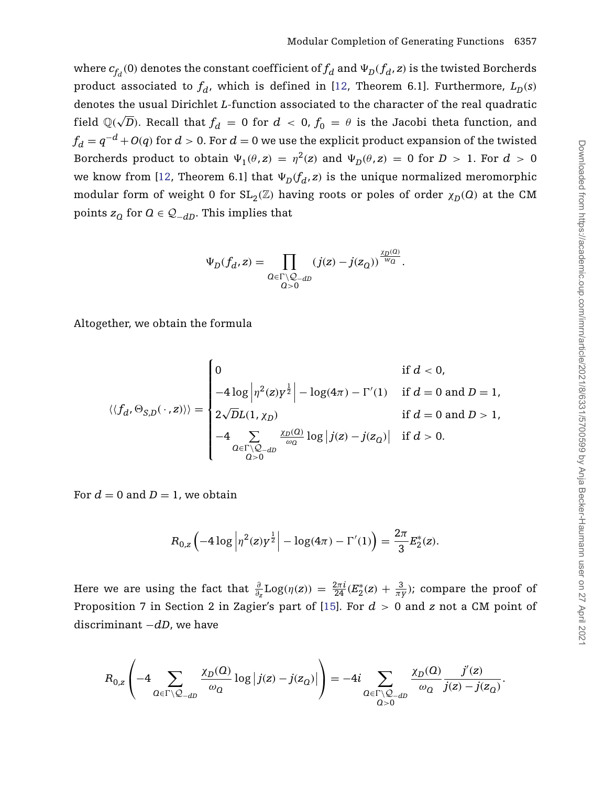where  $c_{f_d}(0)$  denotes the constant coefficient of  $f_d$  and  $\Psi_D(f_d, z)$  is the twisted Borcherds product associated to  $f_d$ , which is defined in [\[12,](#page-40-12) Theorem 6.1]. Furthermore,  $L_p(s)$ denotes the usual Dirichlet *L*-function associated to the character of the real quadratic field  $\mathbb{Q}(\sqrt{D})$ . Recall that  $f_d = 0$  for  $d < 0$ ,  $f_0 = \theta$  is the Jacobi theta function, and  $f_d = q^{-d} + O(q)$  for  $d > 0$ . For  $d = 0$  we use the explicit product expansion of the twisted Borcherds product to obtain  $\Psi_1(\theta, z) = \eta^2(z)$  and  $\Psi_D(\theta, z) = 0$  for  $D > 1$ . For  $d > 0$ we know from [\[12,](#page-40-12) Theorem 6.1] that  $\Psi_D(f_d, z)$  is the unique normalized meromorphic modular form of weight 0 for  $SL_2(\mathbb{Z})$  having roots or poles of order  $\chi_D(Q)$  at the CM points  $z_Q$  for  $Q \in \mathcal{Q}_{-dD}$ . This implies that

$$
\Psi_D(f_d, z) = \prod_{\substack{Q \in \Gamma \backslash \mathcal{Q}_{-dD} \\ Q > 0}} (j(z) - j(z_Q))^{\frac{\chi_D(Q)}{w_Q}}.
$$

Altogether, we obtain the formula

$$
\langle\langle f_d, \Theta_{S,D}(\,\cdot\,,z)\rangle\rangle = \begin{cases} 0 & \text{if } d < 0, \\ -4\log\left|\eta^2(z) y^{\frac{1}{2}}\right| - \log(4\pi) - \Gamma'(1) & \text{if } d = 0 \text{ and } D = 1, \\ 2\sqrt{D}L(1,\chi_D) & \text{if } d = 0 \text{ and } D > 1, \\ -4\sum_{\substack{Q \in \Gamma \backslash \mathcal{Q}_{-dD} \\ Q > 0}} \frac{\chi_D(Q)}{\omega_Q} \log|j(z) - j(z_Q)| & \text{if } d > 0. \end{cases}
$$

For  $d = 0$  and  $D = 1$ , we obtain

$$
R_{0,z} \left(-4 \log \left| \eta^2(z) y^{\frac{1}{2}} \right| - \log(4\pi) - \Gamma'(1) \right) = \frac{2\pi}{3} E_2^*(z).
$$

Here we are using the fact that  $\frac{\partial}{\partial z}$ Log $(\eta(z)) = \frac{2\pi i}{24} (E_2^*(z) + \frac{3}{\pi y})$ ; compare the proof of Proposition 7 in Section 2 in Zagier's part of [\[15\]](#page-40-15). For *d >* 0 and *z* not a CM point of discriminant −*dD*, we have

$$
R_{0,z}\left(-4\sum_{\mathcal{Q}\in\Gamma\backslash\mathcal{Q}_{-d\mathcal{D}}}\frac{\chi_{\mathcal{D}}(\mathcal{Q})}{\omega_{\mathcal{Q}}}\log\left|j(\mathbf{z})-j(\mathbf{z}_{\mathcal{Q}})\right|\right)=-4i\sum_{\substack{\mathcal{Q}\in\Gamma\backslash\mathcal{Q}_{-d\mathcal{D}}\\\mathcal{Q}>0}}\frac{\chi_{\mathcal{D}}(\mathcal{Q})}{\omega_{\mathcal{Q}}}\frac{j'(z)}{j(\mathbf{z})-j(\mathbf{z}_{\mathcal{Q}})}.
$$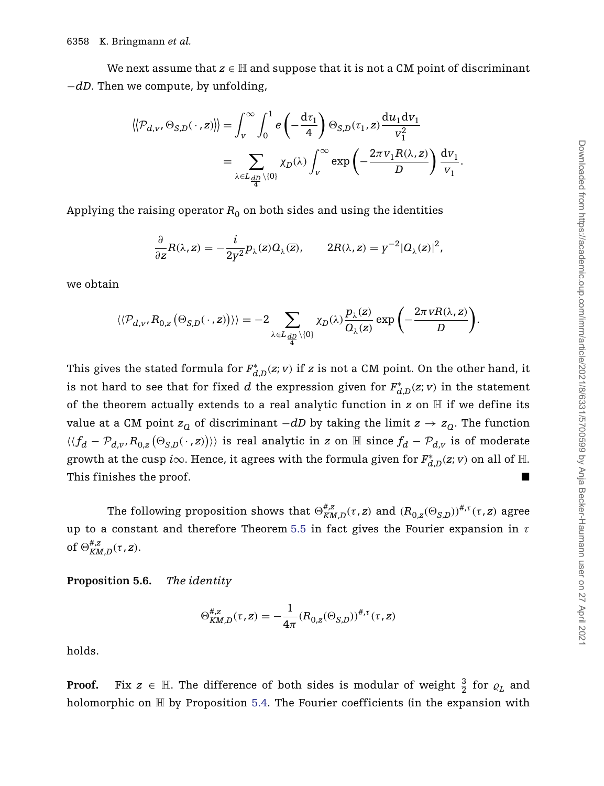We next assume that  $z \in \mathbb{H}$  and suppose that it is not a CM point of discriminant −*dD*. Then we compute, by unfolding,

$$
\langle \langle \mathcal{P}_{d,v}, \Theta_{S,D}(\cdot \, , z) \rangle \rangle = \int_{v}^{\infty} \int_{0}^{1} e\left(-\frac{d\tau_{1}}{4}\right) \Theta_{S,D}(\tau_{1}, z) \frac{du_{1}dv_{1}}{v_{1}^{2}}
$$

$$
= \sum_{\lambda \in L_{\frac{dD}{4}} \setminus \{0\}} \chi_{D}(\lambda) \int_{v}^{\infty} \exp\left(-\frac{2\pi v_{1}R(\lambda, z)}{D}\right) \frac{dv_{1}}{v_{1}}.
$$

Applying the raising operator  $R_0$  on both sides and using the identities

$$
\frac{\partial}{\partial z}R(\lambda, z) = -\frac{i}{2y^2}p_{\lambda}(z)Q_{\lambda}(\overline{z}), \qquad 2R(\lambda, z) = y^{-2}|Q_{\lambda}(z)|^2,
$$

we obtain

$$
\langle\langle \mathcal{P}_{d,v}, R_{0,z}(\Theta_{S,D}(\cdot,z))\rangle\rangle = -2 \sum_{\lambda \in L_{\frac{dD}{4}} \setminus \{0\}} \chi_D(\lambda) \frac{p_{\lambda}(z)}{Q_{\lambda}(z)} \exp \bigg(-\frac{2\pi vR(\lambda,z)}{D}\bigg).
$$

This gives the stated formula for  $F_{d,D}^*(z;v)$  if *z* is not a CM point. On the other hand, it is not hard to see that for fixed  $d$  the expression given for  $F^*_{d,D}(z;v)$  in the statement of the theorem actually extends to a real analytic function in  $z$  on  $\mathbb H$  if we define its value at a CM point  $z<sub>Q</sub>$  of discriminant  $-dD$  by taking the limit  $z \rightarrow z<sub>Q</sub>$ . The function  $\langle \langle f_d - \mathcal{P}_{d,v}, R_{0,z}(\Theta_{S,D}(\,\cdot\,,z)) \rangle \rangle$  is real analytic in *z* on  $\mathbb H$  since  $f_d - \mathcal{P}_{d,v}$  is of moderate growth at the cusp *i* $\infty$ . Hence, it agrees with the formula given for  $F^*_{d,D}(z;v)$  on all of  $\mathbb H$ . This finishes the proof.

The following proposition shows that  $\Theta_{KM,D}^{\#,z}(\tau,z)$  and  $(R_{0,z}(\Theta_{S,D}))^{\#, \tau}(\tau,z)$  agree up to a constant and therefore Theorem [5.5](#page-25-0) in fact gives the Fourier expansion in *τ* of  $\Theta_{KMM,D}^{\#,\mathrm{z}}(\tau,\mathrm{z})$ .

<span id="page-27-0"></span>**Proposition 5.6.** *The identity*

$$
\Theta_{KM,D}^{\#,z}(\tau,z) = -\frac{1}{4\pi} (R_{0,z}(\Theta_{S,D}))^{\#,\tau}(\tau,z)
$$

holds.

**Proof.** Fix  $z \in \mathbb{H}$ . The difference of both sides is modular of weight  $\frac{3}{2}$  for  $\varrho_L$  and holomorphic on  $\mathbb H$  by Proposition [5.4.](#page-24-0) The Fourier coefficients (in the expansion with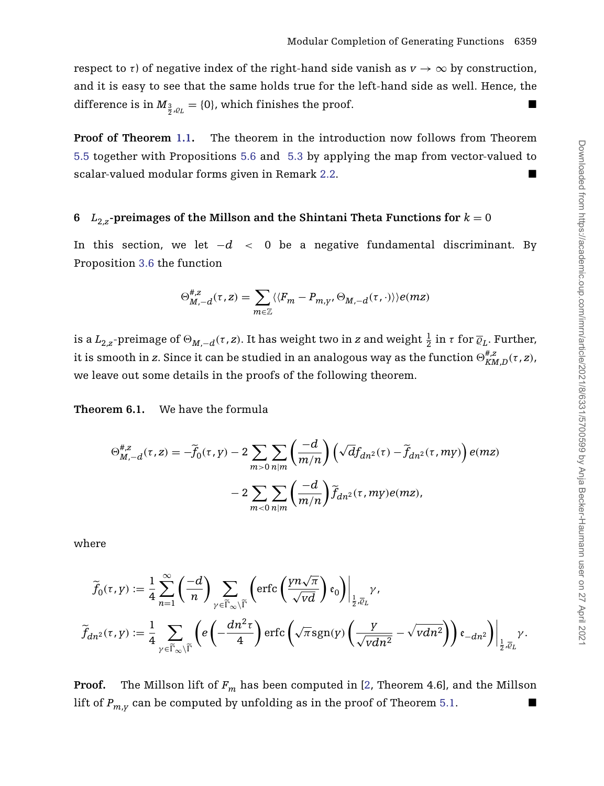respect to  $\tau$ ) of negative index of the right-hand side vanish as  $v \to \infty$  by construction, and it is easy to see that the same holds true for the left-hand side as well. Hence, the difference is in  $M_{\frac{3}{2},\varrho_L} = \{0\}$ , which finishes the proof.

**Proof of Theorem [1.1.](#page-3-0)** The theorem in the introduction now follows from Theorem [5.5](#page-25-0) together with Propositions [5.6](#page-27-0) and [5.3](#page-23-0) by applying the map from vector-valued to scalar-valued modular forms given in Remark [2.2.](#page-10-1)

## <span id="page-28-0"></span>**6**  $L_{2,z}$ -preimages of the Millson and the Shintani Theta Functions for  $k = 0$

In this section, we let −*d <* 0 be a negative fundamental discriminant. By Proposition [3.6](#page-14-1) the function

$$
\Theta_{M,-d}^{\#,z}(\tau,z)=\sum_{m\in\mathbb{Z}}\langle\langle F_m-P_{m,\gamma},\Theta_{M,-d}(\tau,\cdot)\rangle\rangle e(mz)
$$

is a  $L_{2,z}$ -preimage of  $\Theta_{M,-d}(\tau,z).$  It has weight two in  $z$  and weight  $\frac{1}{2}$  in  $\tau$  for  $\overline{\varrho}_L.$  Further, it is smooth in *z*. Since it can be studied in an analogous way as the function  $\oplus_{KM,D}^{\#,z}(\tau,z)$ , we leave out some details in the proofs of the following theorem.

<span id="page-28-1"></span>**Theorem 6.1.** We have the formula

$$
\Theta_{M,-d}^{\#,z}(\tau,z) = -\widetilde{f}_0(\tau,y) - 2 \sum_{m>0} \sum_{n|m} \left(\frac{-d}{m/n}\right) \left(\sqrt{d}f_{dn^2}(\tau) - \widetilde{f}_{dn^2}(\tau, my)\right) e(mz)
$$

$$
- 2 \sum_{m<0} \sum_{n|m} \left(\frac{-d}{m/n}\right) \widetilde{f}_{dn^2}(\tau, my) e(mz),
$$

where

$$
\widetilde{f}_0(\tau, \boldsymbol{y}) := \frac{1}{4} \sum_{n=1}^{\infty} \left( \frac{-d}{n} \right) \sum_{\gamma \in \widetilde{\Gamma}_{\infty} \backslash \widetilde{\Gamma}} \left( \text{erfc}\left( \frac{\gamma n \sqrt{\pi}}{\sqrt{vd}} \right) \mathfrak{e}_0 \right) \Big|_{\frac{1}{2}, \overline{\varrho}_L} \gamma,
$$
\n
$$
\widetilde{f}_{dn^2}(\tau, \boldsymbol{y}) := \frac{1}{4} \sum_{\gamma \in \widetilde{\Gamma}_{\infty} \backslash \widetilde{\Gamma}} \left( e \left( -\frac{d n^2 \tau}{4} \right) \text{erfc}\left( \sqrt{\pi} \, \text{sgn}(\boldsymbol{y}) \left( \frac{\boldsymbol{y}}{\sqrt{vdn^2}} - \sqrt{vdn^2} \right) \right) \mathfrak{e}_{-dn^2} \right) \Big|_{\frac{1}{2}, \overline{\varrho}_L} \gamma.
$$

**Proof.** The Millson lift of  $F_m$  has been computed in [\[2,](#page-40-13) Theorem 4.6], and the Millson lift of  $P_{m,v}$  can be computed by unfolding as in the proof of Theorem [5.1.](#page-21-0)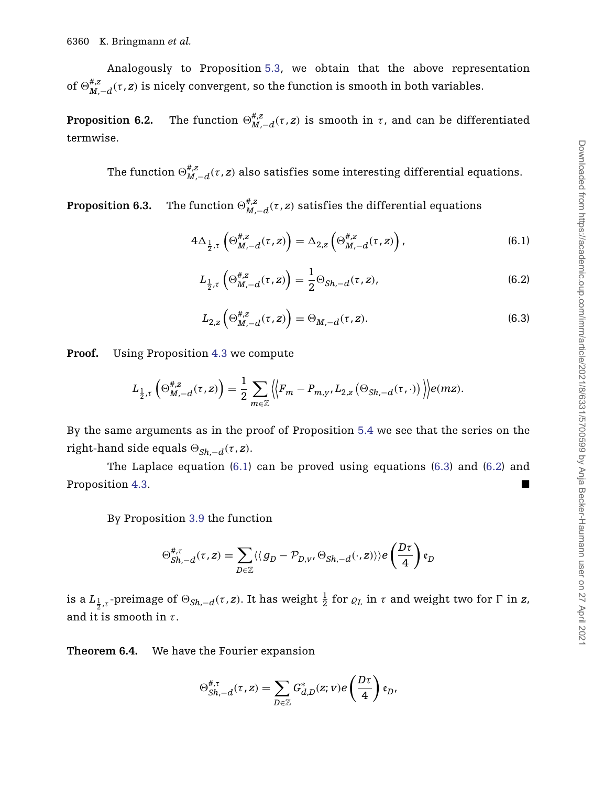Analogously to Proposition [5.3,](#page-23-0) we obtain that the above representation of  $\Theta_{M,-d}^{\#,\mathbb{Z}}(\tau,z)$  is nicely convergent, so the function is smooth in both variables.

**Proposition 6.2.** The function  $\Theta_{M,-d}^{\#,z}(\tau,z)$  is smooth in  $\tau$ , and can be differentiated termwise.

The function  $\Theta_{M,-d}^{\#,z}(\tau,z)$  also satisfies some interesting differential equations.

<span id="page-29-3"></span>**Proposition 6.3.** The function  $\Theta_{M,-d}^{*,z}(\tau,z)$  satisfies the differential equations

$$
4\Delta_{\frac{1}{2},\tau}\left(\Theta_{M,-d}^{\#,\mathbf{z}}(\tau,\mathbf{z})\right) = \Delta_{2,\mathbf{z}}\left(\Theta_{M,-d}^{\#,\mathbf{z}}(\tau,\mathbf{z})\right),\tag{6.1}
$$

<span id="page-29-0"></span>
$$
L_{\frac{1}{2},\tau} \left( \Theta_{M,-d}^{\#,z}(\tau,z) \right) = \frac{1}{2} \Theta_{Sh,-d}(\tau,z), \tag{6.2}
$$

$$
L_{2,z} \left( \Theta_{M,-d}^{\#,z}(\tau,z) \right) = \Theta_{M,-d}(\tau,z). \tag{6.3}
$$

<span id="page-29-2"></span><span id="page-29-1"></span>**Proof.** Using Proposition [4.3](#page-20-0) we compute

$$
L_{\frac{1}{2},\tau}\left(\Theta_{M,-d}^{\#,z}(\tau,z)\right)=\frac{1}{2}\sum_{m\in\mathbb{Z}}\left\langle\left\langle F_m-P_{m,y},L_{2,z}\left(\Theta_{Sh,-d}(\tau,\cdot)\right)\right\rangle\right\rangle e(mz).
$$

By the same arguments as in the proof of Proposition [5.4](#page-24-0) we see that the series on the right-hand side equals  $\Theta_{Sh-d}(\tau, z)$ .

The Laplace equation [\(6.1\)](#page-29-0) can be proved using equations [\(6.3\)](#page-29-1) and [\(6.2\)](#page-29-2) and Proposition [4.3.](#page-20-0)

By Proposition [3.9](#page-17-0) the function

$$
\Theta_{Sh,-d}^{\#, \tau}(\tau, z) = \sum_{D \in \mathbb{Z}} \langle \langle g_D - \mathcal{P}_{D, v}, \Theta_{Sh,-d}(\cdot, z) \rangle \rangle e\left(\frac{D\tau}{4}\right) \mathfrak{e}_D
$$

is a  $L_{\frac{1}{2},\tau}$ -preimage of  $\Theta_{Sh,-d}(\tau,z)$ . It has weight  $\frac{1}{2}$  for  $\varrho_L$  in  $\tau$  and weight two for  $\Gamma$  in  $z$ , and it is smooth in *τ* .

<span id="page-29-4"></span>**Theorem 6.4.** We have the Fourier expansion

$$
\Theta^{\#,\tau}_{Sh,-d}(\tau,z)=\sum_{D\in\mathbb{Z}}G^*_{d,D}(z;v)e\left(\frac{D\tau}{4}\right)\mathfrak{e}_D,
$$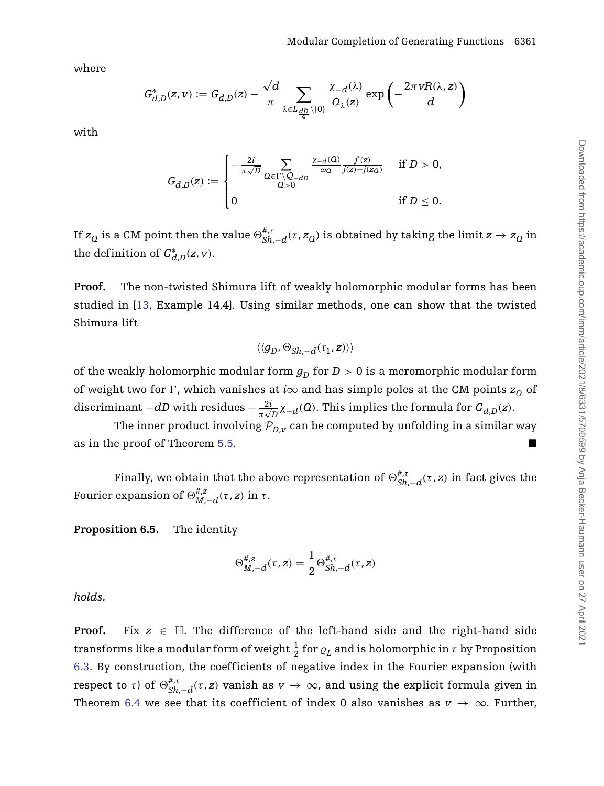where

$$
G_{d,D}^*(z,v):=G_{d,D}(z)-\frac{\sqrt{d}}{\pi}\sum_{\lambda\in L_{\frac{dD}{4}}\backslash\{0\}}\frac{\chi_{-d}(\lambda)}{Q_{\lambda}(z)}\exp\left(-\frac{2\pi vR(\lambda,z)}{d}\right)
$$

with

$$
G_{d,D}(z):=\begin{cases}-\frac{2i}{\pi\sqrt{D}}\sum\limits_{\substack{Q\in\Gamma\backslash\mathcal{Q}_{-dD}\\Q>0}}\frac{\chi_{-d}(Q)}{\omega_Q}\frac{j'(z)}{j(z)-j(z_Q)}&\text{ if }D>0,\\0&\text{ if }D\leq 0.\end{cases}
$$

If  $z_Q$  is a CM point then the value  $\Theta_{Sh,-d}^{\#, \tau}(\tau, z_Q)$  is obtained by taking the limit  $z \to z_Q$  in the definition of  $G^*_{d,D}(z, v)$ .

**Proof.** The non-twisted Shimura lift of weakly holomorphic modular forms has been studied in [\[13,](#page-40-10) Example 14.4]. Using similar methods, one can show that the twisted Shimura lift

$$
\langle \langle g_D, \Theta_{Sh,-d}(\tau_1, z) \rangle \rangle
$$

of the weakly holomorphic modular form  $g_D$  for  $D > 0$  is a meromorphic modular form of weight two for  $\Gamma$ , which vanishes at *i* $\infty$  and has simple poles at the CM points  $z_0$  of discriminant  $-dD$  with residues  $-\frac{2i}{\pi\sqrt{D}}\chi_{-d}(Q)$ . This implies the formula for  $G_{d,D}(z)$ .

The inner product involving  $P_{D,v}$  can be computed by unfolding in a similar way as in the proof of Theorem [5.5.](#page-25-0)

Finally, we obtain that the above representation of  $\Theta_{Sh,-d}^{\#, \tau}(\tau, z)$  in fact gives the Fourier expansion of  $\Theta_{M,-d}^{\#,z}(\tau,z)$  in  $τ$ .

**Proposition 6.5.** The identity

$$
\Theta_{M,-d}^{\#,z}(\tau,z) = \frac{1}{2} \Theta_{Sh,-d}^{\#,\tau}(\tau,z)
$$

*holds.*

**Proof.** Fix  $z \in \mathbb{H}$ . The difference of the left-hand side and the right-hand side transforms like a modular form of weight  $\frac{1}{2}$  for  $\overline{\varrho}_L$  and is holomorphic in  $\tau$  by Proposition [6.3.](#page-29-3) By construction, the coefficients of negative index in the Fourier expansion (with respect to *τ*) of  $\Theta_{Sh,-d}^{\#, \tau}(\tau, z)$  vanish as  $v \to \infty$ , and using the explicit formula given in Theorem [6.4](#page-29-4) we see that its coefficient of index 0 also vanishes as  $v \to \infty$ . Further,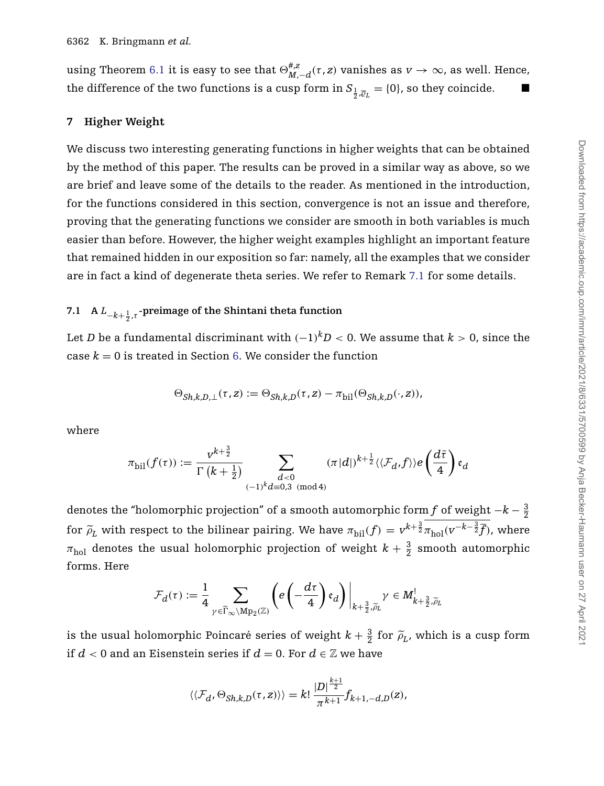using Theorem [6.1](#page-28-1) it is easy to see that  $\Theta_{M,-d}^{\#,z}(\tau,z)$  vanishes as  $v\to\infty$ , as well. Hence, the difference of the two functions is a cusp form in  $S_{\frac{1}{2},\overline{\varrho}_L} = \{0\}$ , so they coincide.

#### <span id="page-31-0"></span>**7 Higher Weight**

We discuss two interesting generating functions in higher weights that can be obtained by the method of this paper. The results can be proved in a similar way as above, so we are brief and leave some of the details to the reader. As mentioned in the introduction, for the functions considered in this section, convergence is not an issue and therefore, proving that the generating functions we consider are smooth in both variables is much easier than before. However, the higher weight examples highlight an important feature that remained hidden in our exposition so far: namely, all the examples that we consider are in fact a kind of degenerate theta series. We refer to Remark [7.1](#page-32-0) for some details.

# <span id="page-31-1"></span>**7.1 A** *L*−*k*<sup>+</sup> <sup>1</sup> <sup>2</sup> ,*<sup>τ</sup>* **-preimage of the Shintani theta function**

Let *D* be a fundamental discriminant with  $(-1)^k$ *D* < 0. We assume that *k* > 0, since the case  $k = 0$  is treated in Section [6.](#page-28-0) We consider the function

$$
\Theta_{Sh,k,D,\bot}(\tau,z):=\Theta_{Sh,k,D}(\tau,z)-\pi_{\rm bil}(\Theta_{Sh,k,D}(\cdot,z)),
$$

where

$$
\pi_{\textup{bil}}(f(\tau)) := \frac{v^{k+\frac{3}{2}}}{\Gamma(k+\frac{1}{2})}\sum_{\substack{d<0\\(-1)^k d \equiv 0,3\pmod{4}}} (\pi |d|)^{k+\frac{1}{2}} \langle \langle \mathcal{F}_d, f \rangle \rangle e\left(\frac{d\bar{\tau}}{4}\right) \mathfrak{e}_d
$$

denotes the "holomorphic projection" of a smooth automorphic form  $f$  of weight  $-k-\frac{3}{2}$ for  $\widetilde{\rho}_L$  with respect to the bilinear pairing. We have  $\pi_{\text{bil}}(f) = v^{k+\frac{3}{2}} \pi_{\text{hol}}(v^{-k-\frac{3}{2}}\overline{f})$ , where  $\pi_{\text{hol}}$  denotes the usual holomorphic projection of weight  $k+\frac{3}{2}$  smooth automorphic forms. Here

$$
\mathcal{F}_d(\tau) := \frac{1}{4} \sum_{\gamma \in \widetilde{\Gamma}_{\infty} \backslash \mathrm{Mp}_2(\mathbb{Z})} \left( e \left( -\frac{d\tau}{4} \right) \mathfrak{e}_d \right) \bigg|_{k + \frac{3}{2}, \widetilde{\rho}_L} \gamma \in M_{k + \frac{3}{2}, \widetilde{\rho}_L}
$$

is the usual holomorphic Poincaré series of weight  $k + \frac{3}{2}$  for  $\tilde{\rho}_L$ , which is a cusp form if  $d < 0$  and an Eisenstein series if  $d = 0$ . For  $d \in \mathbb{Z}$  we have

$$
\langle\langle \mathcal{F}_{d}, \Theta_{Sh,k,D}(\tau,z)\rangle\rangle = k! \frac{|D|^{\frac{k+1}{2}}}{\pi^{k+1}} f_{k+1,-d,D}(z),
$$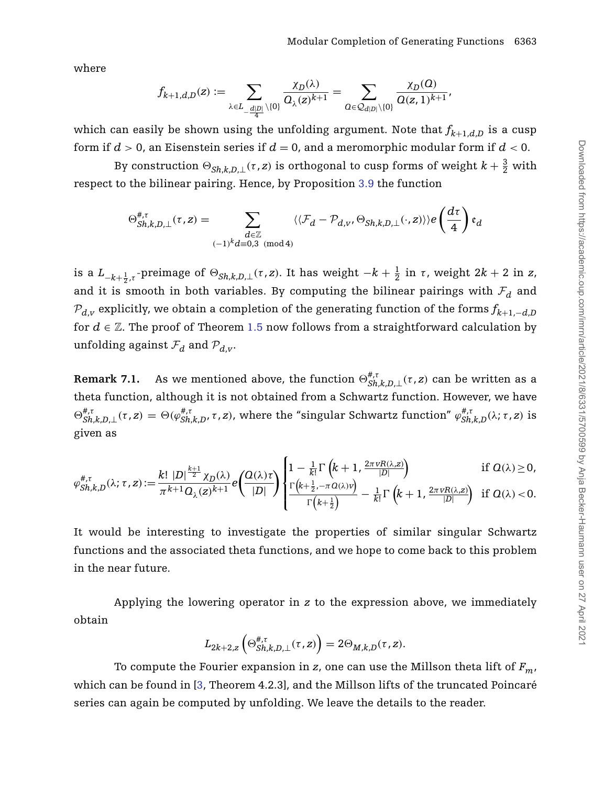where

$$
f_{k+1,d,D}(z):=\sum_{\lambda\in L_{-\frac{d|D|}{4}}\setminus\{0\}}\frac{\chi_D(\lambda)}{O_{\lambda}(z)^{k+1}}=\sum_{O\in\mathcal{Q}_{d|D|}\setminus\{0\}}\frac{\chi_D(O)}{O(z,1)^{k+1}},
$$

which can easily be shown using the unfolding argument. Note that  $f_{k+1,d,D}$  is a cusp form if *d >* 0, an Eisenstein series if *d* = 0, and a meromorphic modular form if *d <* 0.

By construction  $\Theta_{Sh,k,D,\perp}(\tau,z)$  is orthogonal to cusp forms of weight  $k+\frac{3}{2}$  with respect to the bilinear pairing. Hence, by Proposition [3.9](#page-17-0) the function

$$
\Theta^{\#,\tau}_{Sh,k,D,\bot}(\tau,z) = \sum_{\substack{d \in \mathbb{Z} \\ (-1)^k d \equiv 0,3 \pmod{4}}} \langle \langle \mathcal{F}_d - \mathcal{P}_{d,v}, \Theta_{Sh,k,D,\bot}(\cdot,z) \rangle \rangle e\left(\frac{d\tau}{4}\right) \mathfrak{e}_d
$$

is a  $L_{-k+\frac{1}{2},\tau}$ -preimage of  $\Theta_{Sh,k,D,\bot}(\tau,z)$ . It has weight  $-k+\frac{1}{2}$  in  $\tau$ , weight  $2k+2$  in  $z,$ and it is smooth in both variables. By computing the bilinear pairings with  $F_d$  and  $\mathcal{P}_{d,v}$  explicitly, we obtain a completion of the generating function of the forms  $f_{k+1,-d,D}$ for  $d \in \mathbb{Z}$ . The proof of Theorem [1.5](#page-7-1) now follows from a straightforward calculation by unfolding against  $\mathcal{F}_d$  and  $\mathcal{P}_{d,v}$ .

<span id="page-32-0"></span>**Remark 7.1.** As we mentioned above, the function  $\Theta_{Sh,k,D,\perp}^{\#,\tau}(\tau,z)$  can be written as a theta function, although it is not obtained from a Schwartz function. However, we have  $\Theta_{Sh,k,D,\perp}^{\#,\tau}(\tau,z) = \Theta(\varphi_{Sh,k,D}^{\#,\tau},\tau,z)$ , where the "singular Schwartz function"  $\varphi_{Sh,k,D}^{\#,\tau}(\lambda;\tau,z)$  is given as

$$
\varphi_{Sh,k,D}^{\#,\tau}(\lambda;\tau,z) := \frac{k! \, |D|^{\frac{k+1}{2}} \chi_D(\lambda)}{\pi^{k+1} \Omega_\lambda(z)^{k+1}} e\left(\frac{\Omega(\lambda)\tau}{|D|}\right) \begin{cases} 1 - \frac{1}{k!} \Gamma\left(k+1, \frac{2\pi v R(\lambda,z)}{|D|}\right) & \text{if } \Omega(\lambda) \ge 0, \\ \frac{\Gamma\left(k+\frac{1}{2}, -\pi \Omega(\lambda)v\right)}{\Gamma\left(k+\frac{1}{2}\right)} - \frac{1}{k!} \Gamma\left(k+1, \frac{2\pi v R(\lambda,z)}{|D|}\right) & \text{if } \Omega(\lambda) < 0. \end{cases}
$$

It would be interesting to investigate the properties of similar singular Schwartz functions and the associated theta functions, and we hope to come back to this problem in the near future.

Applying the lowering operator in *z* to the expression above, we immediately obtain

$$
L_{2k+2,z}\left(\Theta_{Sh,k,D,\bot}^{\#, \tau}(\tau,z)\right)=2\Theta_{M,k,D}(\tau,z).
$$

To compute the Fourier expansion in  $z$ , one can use the Millson theta lift of  $F_m$ , which can be found in [\[3,](#page-40-16) Theorem 4.2.3], and the Millson lifts of the truncated Poincaré series can again be computed by unfolding. We leave the details to the reader.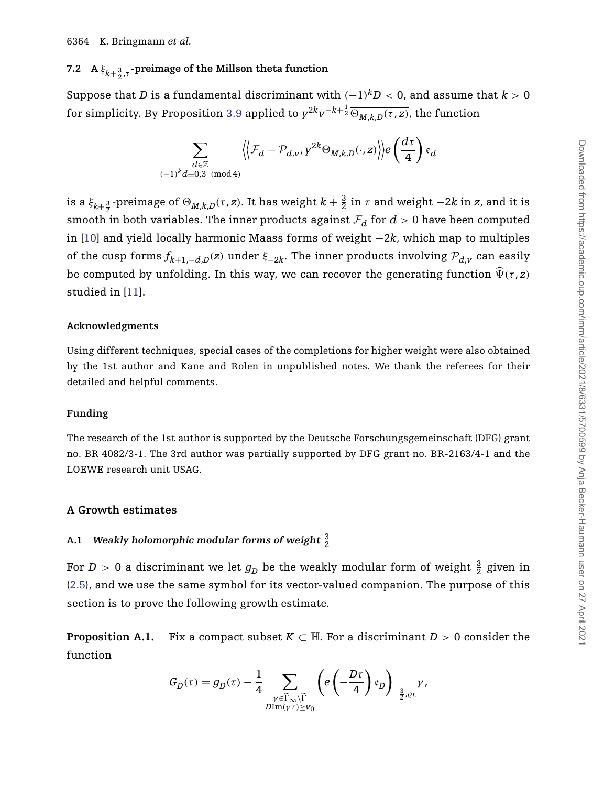# **7.2 A** *ξk*<sup>+</sup> <sup>3</sup> <sup>2</sup> ,*<sup>τ</sup>* **-preimage of the Millson theta function**

Suppose that *D* is a fundamental discriminant with  $(-1)^k D < 0$ , and assume that  $k > 0$  $f$  for simplicity. By Proposition [3.9](#page-17-0) applied to  $y^{2k}v^{-k+\frac{1}{2}}\overline{\Theta_{M,k,D}(\tau,z)}$ , the function

$$
\sum_{\substack{d \in \mathbb{Z} \\ (-1)^k d \equiv 0, 3 \pmod{4}}} \Bigl \langle \Bigl \langle \mathcal{F}_d - \mathcal{P}_{d, v}, \gamma^{2k} \Theta_{M, k, D}(\cdot, z) \Bigr \rangle \Bigr \rangle e \left( \frac{d \tau}{4} \right) \mathfrak{e}_d
$$

is a  $\xi_{k+\frac{3}{2}}$ -preimage of  $\Theta_{M,k,D}(\tau,z)$ . It has weight  $k+\frac{3}{2}$  in  $\tau$  and weight  $-2k$  in  $z$ , and it is smooth in both variables. The inner products against  $\mathcal{F}_d$  for  $d > 0$  have been computed in [\[10\]](#page-40-17) and yield locally harmonic Maass forms of weight −2*k*, which map to multiples of the cusp forms  $f_{k+1,-d,D}(z)$  under  $\xi_{-2k}$ . The inner products involving  $\mathcal{P}_{d,v}$  can easily be computed by unfolding. In this way, we can recover the generating function  $\hat{\Psi}(\tau, z)$ studied in [\[11\]](#page-40-18).

#### **Acknowledgments**

Using different techniques, special cases of the completions for higher weight were also obtained by the 1st author and Kane and Rolen in unpublished notes. We thank the referees for their detailed and helpful comments.

#### **Funding**

The research of the 1st author is supported by the Deutsche Forschungsgemeinschaft (DFG) grant no. BR 4082/3-1. The 3rd author was partially supported by DFG grant no. BR-2163/4-1 and the LOEWE research unit USAG.

#### **A Growth estimates**

## A.1 Weakly holomorphic modular forms of weight  $\frac{3}{2}$

For  $D > 0$  a discriminant we let  $g_D^{}$  be the weakly modular form of weight  $\frac{3}{2}$  given in [\(2.5\)](#page-11-3), and we use the same symbol for its vector-valued companion. The purpose of this section is to prove the following growth estimate.

<span id="page-33-0"></span>**Proposition A.1.** Fix a compact subset  $K \subset \mathbb{H}$ . For a discriminant  $D > 0$  consider the function

$$
G_D(\tau) = g_D(\tau) - \frac{1}{4} \sum_{\substack{\gamma \in \widetilde{\Gamma}_{\infty} \backslash \widetilde{\Gamma} \\ \text{DIm}(\gamma \tau) \geq V_0}} \left( e \left( -\frac{D \tau}{4} \right) \mathfrak{e}_D \right) \Big|_{\frac{3}{2}, \varrho_L} \gamma,
$$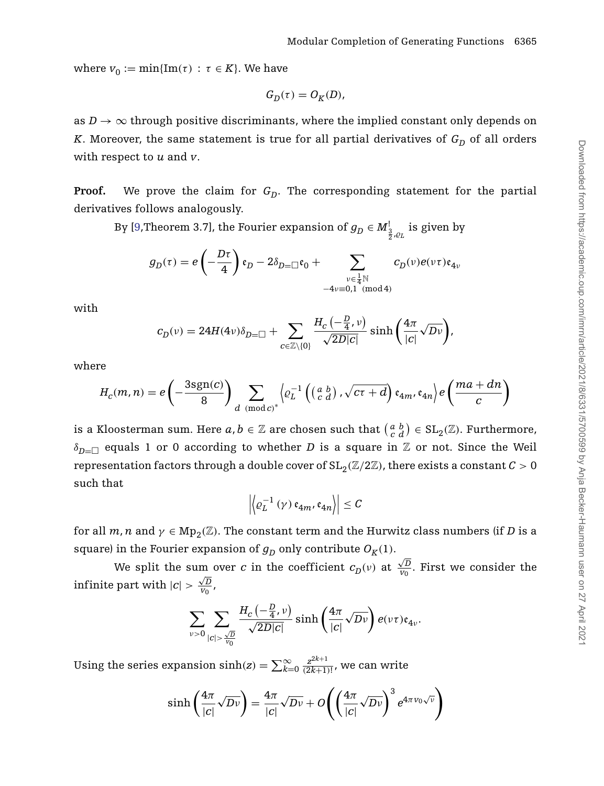where  $v_0 := \min\{\text{Im}(\tau) : \tau \in K\}$ . We have

$$
G_D(\tau)=O_K(D),
$$

as  $D \to \infty$  through positive discriminants, where the implied constant only depends on *K*. Moreover, the same statement is true for all partial derivatives of  $G_D$  of all orders with respect to *u* and *v*.

**Proof.** We prove the claim for  $G_D$ . The corresponding statement for the partial derivatives follows analogously.

By [\[9,](#page-40-19)Theorem 3.7], the Fourier expansion of  $g_D \in M^1_{\frac{3}{2},\varrho_L}$  is given by

$$
g_D(\tau) = e\left(-\frac{D\tau}{4}\right)\mathfrak{e}_D - 2\delta_{D=\square}\mathfrak{e}_0 + \sum_{\substack{\nu \in \frac{1}{4}\mathbb{N}\\ -4\nu \equiv 0,1 \pmod 4}} c_D(\nu) e(\nu\tau) \mathfrak{e}_{4\nu}
$$

with

$$
c_{D}(\nu) = 24H(4\nu)\delta_{D=\square} + \sum_{c \in \mathbb{Z} \setminus \{0\}} \frac{H_c\left(-\frac{D}{4}, \nu\right)}{\sqrt{2D|c|}} \sinh\left(\frac{4\pi}{|c|}\sqrt{D\nu}\right),\,
$$

where

$$
H_c(m,n) = e\left(-\frac{3\text{sgn}(c)}{8}\right) \sum_{d \pmod{c}} \left\langle e_L^{-1}\left(\begin{pmatrix} a & b \\ c & d \end{pmatrix}, \sqrt{c\tau + d}\right) \mathfrak{e}_{4m}, \mathfrak{e}_{4n} \right\rangle e\left(\frac{ma + dn}{c}\right)
$$

is a Kloosterman sum. Here  $a, b \in \mathbb{Z}$  are chosen such that  $\left(\frac{a}{c}\frac{b}{d}\right) \in \mathrm{SL}_2(\mathbb{Z}).$  Furthermore,  $\delta_{D=\Box}$  equals 1 or 0 according to whether *D* is a square in  $\mathbb Z$  or not. Since the Weil representation factors through a double cover of  $SL_2(\mathbb{Z}/2\mathbb{Z})$ , there exists a constant  $C > 0$ such that

$$
\left| \left\langle \varrho_L^{-1} \left( \gamma \right) \mathfrak{e}_{4m}, \mathfrak{e}_{4n} \right\rangle \right| \leq C
$$

for all *m*, *n* and  $\gamma \in \text{Mp}_2(\mathbb{Z})$ . The constant term and the Hurwitz class numbers (if *D* is a square) in the Fourier expansion of  $g_D$  only contribute  $O_K(1)$ .

We split the sum over *c* in the coefficient  $c_D(v)$  at  $\frac{\sqrt{D}}{v_0}$  $\frac{\sqrt{D}}{V_0}$ . First we consider the  $\frac{1}{2}$  infinite part with  $|c| > \frac{\sqrt{D}}{V_0}$  $\frac{\sqrt{D}}{V_0}$  ,

$$
\sum_{\nu>0}\sum_{|c|>\frac{\sqrt{D}}{v_0}}\frac{H_c\left(-\frac{D}{4},\nu\right)}{\sqrt{2D|c|}}\sinh\left(\frac{4\pi}{|c|}\sqrt{D\nu}\right)e(\nu\tau)\mathfrak{e}_{4\nu}.
$$

Using the series expansion  $\sinh(z) = \sum_{k=0}^{\infty} \frac{z^{2k+1}}{(2k+1)!}$ , we can write

$$
\sinh\left(\frac{4\pi}{|c|}\sqrt{Dv}\right) = \frac{4\pi}{|c|}\sqrt{Dv} + O\left(\left(\frac{4\pi}{|c|}\sqrt{Dv}\right)^3 e^{4\pi v_0\sqrt{v}}\right)
$$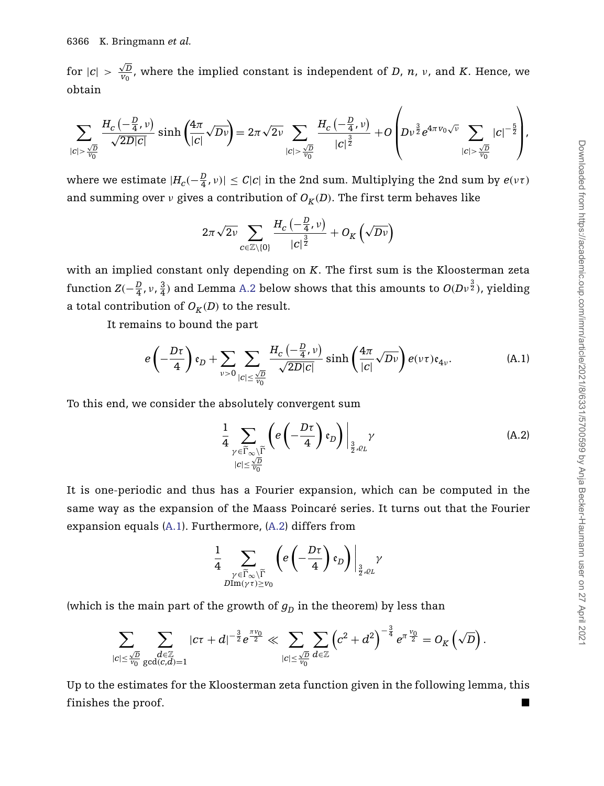for  $|c| > \frac{\sqrt{D}}{V_0}$  $\frac{\sqrt{D}}{v_0}$ , where the implied constant is independent of *D*, *n*, *v*, and *K*. Hence, we obtain

$$
\sum_{|c| > \frac{\sqrt{D}}{v_0}} \frac{H_c(-\frac{D}{4},v)}{\sqrt{2D|c|}} \sinh\left(\frac{4\pi}{|c|}\sqrt{Dv}\right) = 2\pi\sqrt{2v} \sum_{|c| > \frac{\sqrt{D}}{v_0}} \frac{H_c(-\frac{D}{4},v)}{|c|^{\frac{3}{2}}} + O\left(Dv^{\frac{3}{2}}e^{4\pi v_0\sqrt{v}} \sum_{|c| > \frac{\sqrt{D}}{v_0}}|c|^{-\frac{5}{2}}\right),
$$

where we estimate  $|H_c(-\frac{D}{4}, v)| \leq C|c|$  in the 2nd sum. Multiplying the 2nd sum by  $e(v\tau)$ and summing over *ν* gives a contribution of  $O_K(D)$ . The first term behaves like

$$
2\pi\sqrt{2\nu}\sum_{c\in\mathbb{Z}\setminus\{0\}}\frac{H_c\left(-\frac{D}{4},\nu\right)}{\left|c\right|^{\frac{3}{2}}}+O_K\left(\sqrt{D\nu}\right)
$$

with an implied constant only depending on *K*. The first sum is the Kloosterman zeta function  $Z(-\frac{D}{4},\nu,\frac{3}{4})$  and Lemma [A.2](#page-36-0) below shows that this amounts to  $O(D\nu^{\frac{3}{2}})$ , yielding a total contribution of  $O_K(D)$  to the result.

It remains to bound the part

$$
e\left(-\frac{D\tau}{4}\right)\mathfrak{e}_D+\sum_{\nu>0}\sum_{|c|\leq \frac{\sqrt{D}}{\nu_0}}\frac{H_c\left(-\frac{D}{4},\nu\right)}{\sqrt{2D|c|}}\sinh\left(\frac{4\pi}{|c|}\sqrt{D\nu}\right)e(\nu\tau)\mathfrak{e}_{4\nu}.\tag{A.1}
$$

To this end, we consider the absolutely convergent sum

<span id="page-35-1"></span><span id="page-35-0"></span>
$$
\frac{1}{4} \sum_{\substack{\gamma \in \widetilde{\Gamma}_{\infty} \backslash \widetilde{\Gamma} \\ |c| \le \frac{\sqrt{D}}{\sqrt{D}}} } \left( e \left( -\frac{D\tau}{4} \right) \mathfrak{e}_D \right) \Big|_{\frac{3}{2}, \varrho_L} \gamma \tag{A.2}
$$

 $\overline{1}$ 

It is one-periodic and thus has a Fourier expansion, which can be computed in the same way as the expansion of the Maass Poincaré series. It turns out that the Fourier expansion equals [\(A.1\)](#page-35-0). Furthermore, [\(A.2\)](#page-35-1) differs from

$$
\frac{1}{4}\sum_{\substack{\gamma\in \widetilde{\Gamma}_\infty\backslash \widetilde{\Gamma}\\ D \text{Im}(\gamma\tau)\geq V_0}} \left(e\left(-\frac{D\tau}{4}\right)\mathfrak{e}_D\right)\Big|_{\frac{3}{2},\varrho_L} \gamma
$$

(which is the main part of the growth of  $g<sub>D</sub>$  in the theorem) by less than

$$
\sum_{|c|\leq \frac{\sqrt{D}}{\nu_0}}\sum_{\substack{d\in \mathbb{Z}\\ \gcd(c,d)=1}}|c\tau+d|^{-\frac{3}{2}}e^{\frac{\pi\nu_0}{2}}\ll \sum_{|c|\leq \frac{\sqrt{D}}{\nu_0}}\sum_{d\in \mathbb{Z}}\left(c^2+d^2\right)^{-\frac{3}{4}}e^{\pi\frac{\nu_0}{2}}=O_K\left(\sqrt{D}\right).
$$

Up to the estimates for the Kloosterman zeta function given in the following lemma, this finishes the proof.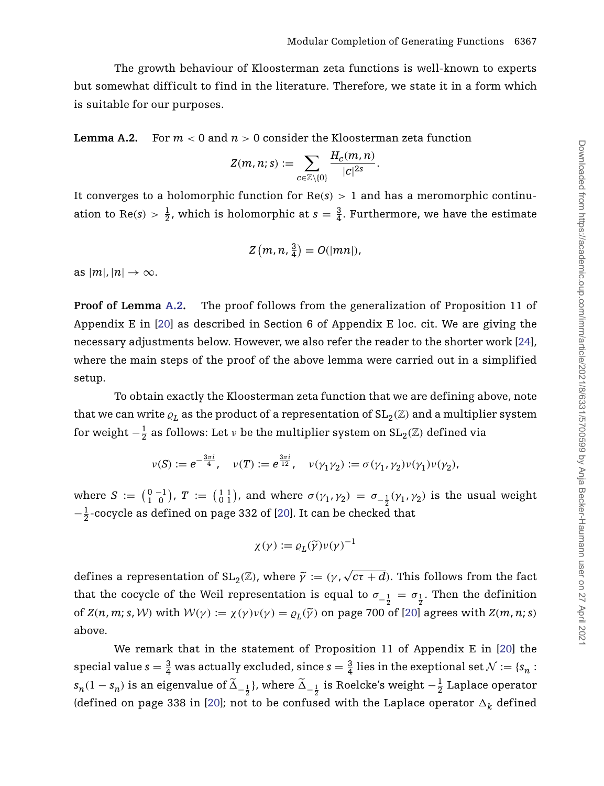The growth behaviour of Kloosterman zeta functions is well-known to experts but somewhat difficult to find in the literature. Therefore, we state it in a form which is suitable for our purposes.

<span id="page-36-0"></span>**Lemma A.2.** For  $m < 0$  and  $n > 0$  consider the Kloosterman zeta function

$$
Z(m, n; s) := \sum_{c \in \mathbb{Z} \setminus \{0\}} \frac{H_c(m, n)}{|c|^{2s}}.
$$

It converges to a holomorphic function for  $Re(s) > 1$  and has a meromorphic continuation to Re(*s*) >  $\frac{1}{2}$ , which is holomorphic at *s* =  $\frac{3}{4}$ . Furthermore, we have the estimate

$$
Z(m,n,\tfrac{3}{4})=O(|mn|),
$$

as  $|m|, |n| \rightarrow \infty$ .

**Proof of Lemma [A.2.](#page-36-0)** The proof follows from the generalization of Proposition 11 of Appendix E in [\[20\]](#page-40-20) as described in Section 6 of Appendix E loc. cit. We are giving the necessary adjustments below. However, we also refer the reader to the shorter work [\[24\]](#page-41-6), where the main steps of the proof of the above lemma were carried out in a simplified setup.

To obtain exactly the Kloosterman zeta function that we are defining above, note that we can write  $\varrho_L$  as the product of a representation of  $\text{SL}_2(\mathbb{Z})$  and a multiplier system for weight  $-\frac{1}{2}$  as follows: Let  $\nu$  be the multiplier system on  $\text{SL}_2(\mathbb{Z})$  defined via

$$
\nu(S) := e^{-\frac{3\pi i}{4}}, \quad \nu(T) := e^{\frac{3\pi i}{12}}, \quad \nu(\gamma_1 \gamma_2) := \sigma(\gamma_1, \gamma_2) \nu(\gamma_1) \nu(\gamma_2),
$$

where  $S := \begin{pmatrix} 0 & -1 \\ 1 & 0 \end{pmatrix}$ ,  $T := \begin{pmatrix} 1 & 1 \\ 0 & 1 \end{pmatrix}$ , and where  $\sigma(\gamma_1, \gamma_2) = \sigma_{-\frac{1}{2}}(\gamma_1, \gamma_2)$  is the usual weight  $-\frac{1}{2}$ -cocycle as defined on page 332 of [\[20\]](#page-40-20). It can be checked that

$$
\chi(\gamma) := \varrho_L(\widetilde{\gamma}) \nu(\gamma)^{-1}
$$

defines a representation of  $SL_2(\mathbb{Z})$ , where  $\widetilde{\gamma} := (\gamma, \sqrt{c\tau + d})$ . This follows from the fact that the cocycle of the Weil representation is equal to  $\sigma_{-\frac{1}{2}} = \sigma_{\frac{1}{2}}$ . Then the definition of  $Z(n, m; s, W)$  with  $W(\gamma) := \chi(\gamma)v(\gamma) = \varrho_L(\widetilde{\gamma})$  on page 700 of [\[20\]](#page-40-20) agrees with  $Z(m, n; s)$ above.

We remark that in the statement of Proposition 11 of Appendix E in [\[20\]](#page-40-20) the special value  $s=\frac{3}{4}$  was actually excluded, since  $s=\frac{3}{4}$  lies in the exeptional set  $\mathcal{N}:=\{s_n:$  $s_n(1-s_n)$  is an eigenvalue of  $\widetilde{\Delta}_{-\frac{1}{2}}$ ), where  $\widetilde{\Delta}_{-\frac{1}{2}}$  is Roelcke's weight  $-\frac{1}{2}$  Laplace operator (defined on page 338 in [\[20\]](#page-40-20); not to be confused with the Laplace operator  $\Delta_k$  defined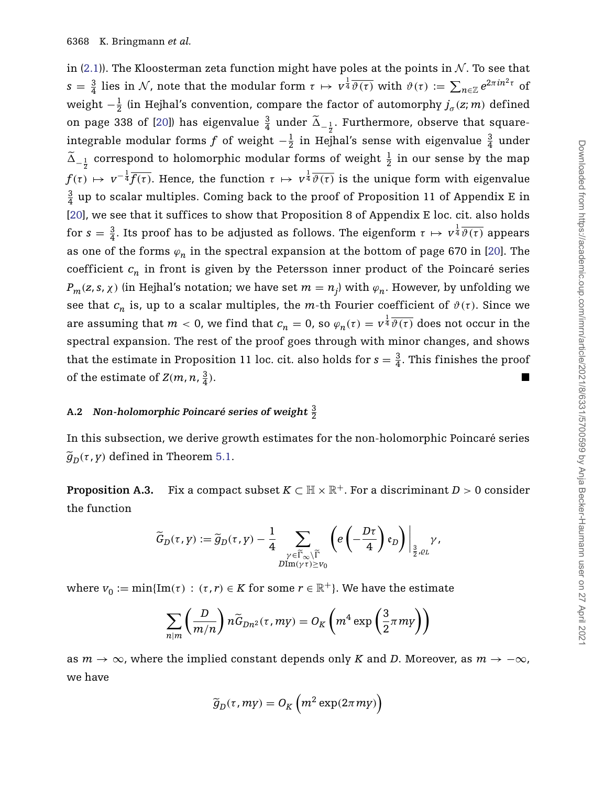in [\(2.1\)](#page-8-0)). The Kloosterman zeta function might have poles at the points in  $\mathcal N$ . To see that  $s = \frac{3}{4}$  lies in N, note that the modular form  $\tau \mapsto v^{\frac{1}{4}}\overline{\vartheta(\tau)}$  with  $\vartheta(\tau) := \sum_{n \in \mathbb{Z}} e^{2\pi i n^2 \tau}$  of weight  $-\frac{1}{2}$  (in Hejhal's convention, compare the factor of automorphy  $j_\sigma(z;m)$  defined on page 338 of [\[20\]](#page-40-20)) has eigenvalue  $\frac{3}{4}$  under  $\tilde{\Delta}_{-\frac{1}{2}}$ . Furthermore, observe that squareintegrable modular forms *f* of weight  $-\frac{1}{2}$  in Hejhal's sense with eigenvalue  $\frac{3}{4}$  under  $\tilde{\Delta}_{-\frac{1}{2}}$  correspond to holomorphic modular forms of weight  $\frac{1}{2}$  in our sense by the map  $f(\tau) \mapsto v^{-\frac{1}{4}} \overline{f(\tau)}$ . Hence, the function  $\tau \mapsto v^{\frac{1}{4}} \overline{\vartheta(\tau)}$  is the unique form with eigenvalue  $\frac{3}{4}$  up to scalar multiples. Coming back to the proof of Proposition 11 of Appendix E in [\[20\]](#page-40-20), we see that it suffices to show that Proposition 8 of Appendix E loc. cit. also holds for  $s = \frac{3}{4}$ . Its proof has to be adjusted as follows. The eigenform  $\tau \mapsto v^{\frac{1}{4}}\overline{\vartheta(\tau)}$  appears as one of the forms  $\varphi_n$  in the spectral expansion at the bottom of page 670 in [\[20\]](#page-40-20). The coefficient  $c_n$  in front is given by the Petersson inner product of the Poincaré series  $P_m(z, s, \chi)$  (in Hejhal's notation; we have set  $m = n_j$ ) with  $\varphi_n$ . However, by unfolding we see that  $c_n$  is, up to a scalar multiples, the *m*-th Fourier coefficient of  $\vartheta(\tau)$ . Since we are assuming that  $m < 0$ , we find that  $c_n = 0$ , so  $\varphi_n(\tau) = v^{\frac{1}{4}}\overline{\vartheta(\tau)}$  does not occur in the spectral expansion. The rest of the proof goes through with minor changes, and shows that the estimate in Proposition 11 loc. cit. also holds for  $s = \frac{3}{4}$ . This finishes the proof of the estimate of  $Z(m, n, \frac{3}{4})$ .  $\frac{3}{4}$ ).

## **A.2 Non-holomorphic Poincaré series of weight** <sup>3</sup> 2

In this subsection, we derive growth estimates for the non-holomorphic Poincaré series  $\widetilde{g}_D(\tau, y)$  defined in Theorem [5.1.](#page-21-0)

<span id="page-37-0"></span>**Proposition A.3.** Fix a compact subset  $K \subset \mathbb{H} \times \mathbb{R}^+$ . For a discriminant  $D > 0$  consider the function

$$
\widetilde{G}_D(\tau,\gamma):=\widetilde{g}_D(\tau,\gamma)-\frac{1}{4}\sum_{\substack{\gamma\in \widetilde{\Gamma}_\infty\backslash \widetilde{\Gamma} \\ D\text{Im}(\gamma\tau)\geq v_0}}\left(e\left(-\frac{D\tau}{4}\right)\mathfrak{e}_D\right)\bigg|_{\frac{3}{2},\varrho_L}\gamma,
$$

where  $v_0 := \min{\{\text{Im}(\tau) : (\tau, r) \in K \text{ for some } r \in \mathbb{R}^+\}}$ . We have the estimate

$$
\sum_{n|m} \left( \frac{D}{m/n} \right) n \widetilde{G}_{Dn^2}(\tau, m\gamma) = O_K\left( m^4 \exp\left( \frac{3}{2} \pi m \gamma \right) \right)
$$

as  $m \to \infty$ , where the implied constant depends only *K* and *D*. Moreover, as  $m \to -\infty$ , we have

$$
\widetilde{g}_D(\tau, my) = O_K\left(m^2 \exp(2\pi m y)\right)
$$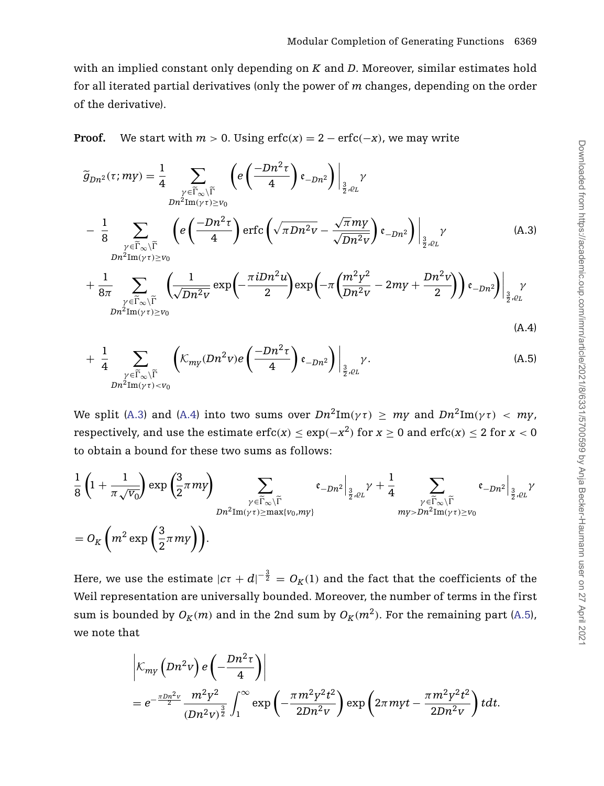with an implied constant only depending on *K* and *D*. Moreover, similar estimates hold for all iterated partial derivatives (only the power of *m* changes, depending on the order of the derivative).

**Proof.** We start with  $m > 0$ . Using  $erfc(x) = 2 - erfc(-x)$ , we may write

<span id="page-38-0"></span>
$$
\widetilde{g}_{Dn^{2}}(\tau; my) = \frac{1}{4} \sum_{\substack{\gamma \in \widetilde{\Gamma}_{\infty} \backslash \widetilde{\Gamma} \\ Dn^{2} \text{Im}(\gamma \tau) \geq v_{0}}} \left( e^{\left( \frac{-Dn^{2} \tau}{4} \right) \epsilon_{-Dn^{2}} \right) \Big|_{\frac{3}{2}, \varrho_{L}} \gamma} \right)
$$
\n
$$
- \frac{1}{8} \sum_{\substack{\gamma \in \widetilde{\Gamma}_{\infty} \backslash \widetilde{\Gamma} \\ Dn^{2} \text{Im}(\gamma \tau) \geq v_{0}}} \left( e^{\left( \frac{-Dn^{2} \tau}{4} \right) \text{erfc}\left( \sqrt{\pi Dn^{2} v} - \frac{\sqrt{\pi} m y}{\sqrt{Dn^{2} v}} \right) \epsilon_{-Dn^{2}} \right) \Big|_{\frac{3}{2}, \varrho_{L}} \gamma} \left( \frac{1}{2 \pi \sqrt{\pi n v}} \sum_{\substack{\gamma \in \widetilde{\Gamma}_{\infty} \backslash \widetilde{\Gamma} \\ Dn^{2} \text{Im}(\gamma \tau) \geq v_{0}}} \left( \frac{1}{\sqrt{Dn^{2} v}} \exp \left( -\frac{\pi i Dn^{2} u}{2} \right) \exp \left( -\pi \left( \frac{m^{2} y^{2}}{Dn^{2} v} - 2m y + \frac{Dn^{2} v}{2} \right) \right) \epsilon_{-Dn^{2}} \right) \Big|_{\frac{3}{2}, \varrho_{L}} \gamma} \right)
$$
\n(A.4)

$$
+\frac{1}{4}\sum_{\substack{\gamma\in\widetilde{\Gamma}_{\infty}\backslash\widetilde{\Gamma}\\Dn^2\text{Im}(\gamma\tau)
$$

We split [\(A.3\)](#page-38-0) and [\(A.4\)](#page-38-0) into two sums over  $Dn^2\text{Im}(\gamma\tau) > my$  and  $Dn^2\text{Im}(\gamma\tau) < my$ , respectively, and use the estimate erfc $(x) \leq \exp(-x^2)$  for  $x \geq 0$  and  $\text{erfc}(x) \leq 2$  for  $x < 0$ to obtain a bound for these two sums as follows:

$$
\frac{1}{8}\left(1+\frac{1}{\pi\sqrt{v_0}}\right)\exp\left(\frac{3}{2}\pi my\right) \sum_{\substack{\gamma \in \widetilde{\Gamma}_{\infty}\backslash \widetilde{\Gamma} \\ Dn^2 \text{Im}(\gamma\tau) \ge \max\{v_0, m\} \\ Dn^2 \text{Im}(\gamma\tau) \ge \max\{v_0, m\}} \epsilon_{-Dn^2}\Big|_{\frac{3}{2}, \varrho_L} \gamma + \frac{1}{4} \sum_{\substack{\gamma \in \widetilde{\Gamma}_{\infty}\backslash \widetilde{\Gamma} \\ m\gamma > Dn^2 \text{Im}(\gamma\tau) \ge v_0}} \epsilon_{-Dn^2}\Big|_{\frac{3}{2}, \varrho_L} \gamma\Big|_{\frac{3}{2}, \varrho_L} \gamma\Big|_{\frac{3}{2}, \varrho_L} \gamma\Big|_{\frac{3}{2}, \varrho_L} \gamma\Big|_{\frac{3}{2}, \varrho_L} \gamma\Big|_{\frac{3}{2}, \varrho_L} \gamma\Big|_{\frac{3}{2}, \varrho_L} \gamma\Big|_{\frac{3}{2}, \varrho_L} \gamma\Big|_{\frac{3}{2}, \varrho_L} \gamma\Big|_{\frac{3}{2}, \varrho_L} \gamma\Big|_{\frac{3}{2}, \varrho_L} \gamma\Big|_{\frac{3}{2}, \varrho_L} \gamma\Big|_{\frac{3}{2}, \varrho_L} \gamma\Big|_{\frac{3}{2}, \varrho_L} \gamma\Big|_{\frac{3}{2}, \varrho_L} \gamma\Big|_{\frac{3}{2}, \varrho_L} \gamma\Big|_{\frac{3}{2}, \varrho_L} \gamma\Big|_{\frac{3}{2}, \varrho_L} \gamma\Big|_{\frac{3}{2}, \varrho_L} \gamma\Big|_{\frac{3}{2}, \varrho_L} \gamma\Big|_{\frac{3}{2}, \varrho_L} \gamma\Big|_{\frac{3}{2}, \varrho_L} \gamma\Big|_{\frac{3}{2}, \varrho_L} \gamma\Big|_{\frac{3}{2}, \varrho_L} \gamma\Big|_{\frac{3}{2}, \varrho_L} \gamma\Big|_{\frac{3}{2}, \varrho_L} \gamma\Big|_{\frac{3}{2}, \varrho_L} \gamma\Big|_{\frac{3}{2}, \varrho_L} \gamma\Big|_{\frac{3}{2}, \varrho_L} \gamma\Big|_{\frac{3}{2}, \var
$$

Here, we use the estimate  $|c\tau+d|^{-\frac{3}{2}}=O_K(1)$  and the fact that the coefficients of the Weil representation are universally bounded. Moreover, the number of terms in the first sum is bounded by  $O_K(m)$  and in the 2nd sum by  $O_K(m^2)$ . For the remaining part [\(A.5\)](#page-38-0), we note that

$$
\begin{aligned}\n&\left|\mathcal{K}_{m\gamma}\left(Dn^2v\right)e\left(-\frac{Dn^2\tau}{4}\right)\right| \\
&= e^{-\frac{\pi Dn^2v}{2}}\frac{m^2\gamma^2}{\left(Dn^2v\right)^{\frac{3}{2}}}\int_1^\infty \exp\left(-\frac{\pi m^2\gamma^2t^2}{2Dn^2v}\right)\exp\left(2\pi m\gamma t - \frac{\pi m^2\gamma^2t^2}{2Dn^2v}\right)tdt.\n\end{aligned}
$$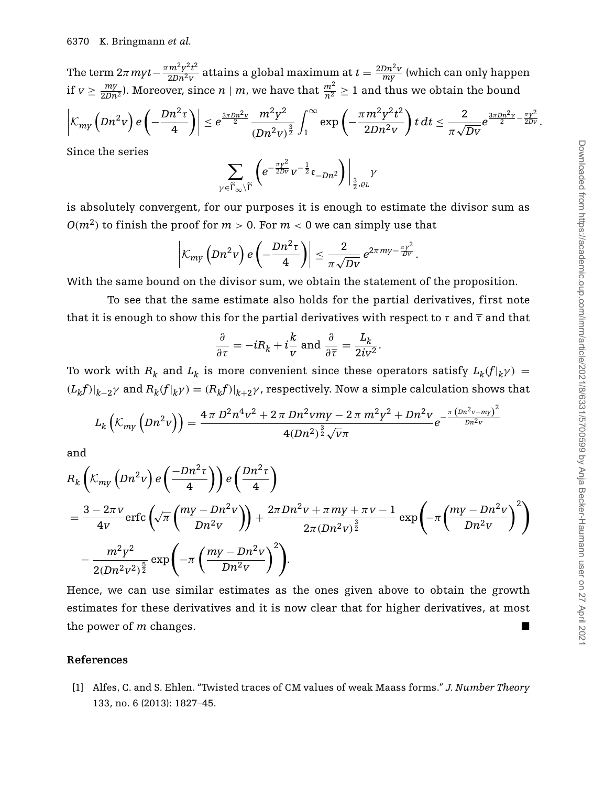The term  $2\pi myt-\frac{\pi m^2y^2t^2}{2Dn^2v}$  attains a global maximum at  $t=\frac{2Dn^2v}{my}$  (which can only happen if  $v \ge \frac{my}{2Dn^2}$ ). Moreover, since  $n \mid m$ , we have that  $\frac{m^2}{n^2} \ge 1$  and thus we obtain the bound

$$
\left|\mathcal{K}_{m v}\left(Dn^2 v\right) e\left(-\frac{Dn^2\tau}{4}\right)\right| \leq e^{\frac{3\pi Dn^2 v}{2}} \frac{m^2 y^2}{\left(Dn^2 v\right)^{\frac{3}{2}}}\int_1^\infty \exp\left(-\frac{\pi m^2 y^2 t^2}{2Dn^2 v}\right) t \, dt \leq \frac{2}{\pi \sqrt{Dv}} e^{\frac{3\pi Dn^2 v}{2} - \frac{\pi y^2}{2Dv}}.
$$

Since the series

$$
\sum_{\gamma \in \widetilde{\Gamma}_\infty \setminus \widetilde{\Gamma}} \left( e^{-\frac{\pi \gamma^2}{2 D v}} v^{-\frac{1}{2}} \mathfrak{e}_{-D n^2} \right) \Big|_{\frac{3}{2},\varrho_L} \gamma
$$

is absolutely convergent, for our purposes it is enough to estimate the divisor sum as  $O(m^2)$  to finish the proof for  $m > 0$ . For  $m < 0$  we can simply use that

$$
\left|\mathcal{K}_{m\gamma}\left(Dn^2v\right)e\left(-\frac{Dn^2\tau}{4}\right)\right|\leq \frac{2}{\pi\sqrt{Dv}}e^{2\pi m y-\frac{\pi v^2}{Dv}}.
$$

With the same bound on the divisor sum, we obtain the statement of the proposition.

To see that the same estimate also holds for the partial derivatives, first note that it is enough to show this for the partial derivatives with respect to  $\tau$  and  $\bar{\tau}$  and that

$$
\frac{\partial}{\partial \tau} = -iR_k + i\frac{k}{v} \text{ and } \frac{\partial}{\partial \overline{\tau}} = \frac{L_k}{2iv^2}.
$$

To work with  $R_k$  and  $L_k$  is more convenient since these operators satisfy  $L_k(f|_k \gamma) =$  $(L_k f)|_{k-2}$ *γ* and  $R_k(f|_k \gamma) = (R_k f)|_{k+2} \gamma$ , respectively. Now a simple calculation shows that

$$
L_k\left(\mathcal{K}_{m\gamma}\left(Dn^2v\right)\right) = \frac{4\,\pi\,D^2n^4v^2 + 2\,\pi\,Dn^2vmy - 2\,\pi\,m^2y^2 + Dn^2v}{4(Dn^2)^{\frac{3}{2}}\sqrt{v}\pi}e^{-\frac{\pi\,(Dn^2v - my)^2}{Dn^2v}}
$$

and

$$
R_{k}\left(\mathcal{K}_{m y}\left(Dn^{2} v\right) e\left(\frac{-Dn^{2} \tau}{4}\right)\right) e\left(\frac{Dn^{2} \tau}{4}\right)
$$
\n
$$
= \frac{3 - 2\pi v}{4v} \text{erfc}\left(\sqrt{\pi} \left(\frac{my - Dn^{2} v}{Dn^{2} v}\right)\right) + \frac{2\pi Dn^{2} v + \pi m y + \pi v - 1}{2\pi (Dn^{2} v)^{\frac{3}{2}}} \exp\left(-\pi \left(\frac{my - Dn^{2} v}{Dn^{2} v}\right)^{2}\right)
$$
\n
$$
- \frac{m^{2} y^{2}}{2(Dn^{2} v^{2})^{\frac{5}{2}}} \exp\left(-\pi \left(\frac{my - Dn^{2} v}{Dn^{2} v}\right)^{2}\right).
$$

Hence, we can use similar estimates as the ones given above to obtain the growth estimates for these derivatives and it is now clear that for higher derivatives, at most the power of  $m$  changes.

#### **References**

<span id="page-39-0"></span>[1] Alfes, C. and S. Ehlen. "Twisted traces of CM values of weak Maass forms." *J. Number Theory* 133, no. 6 (2013): 1827–45.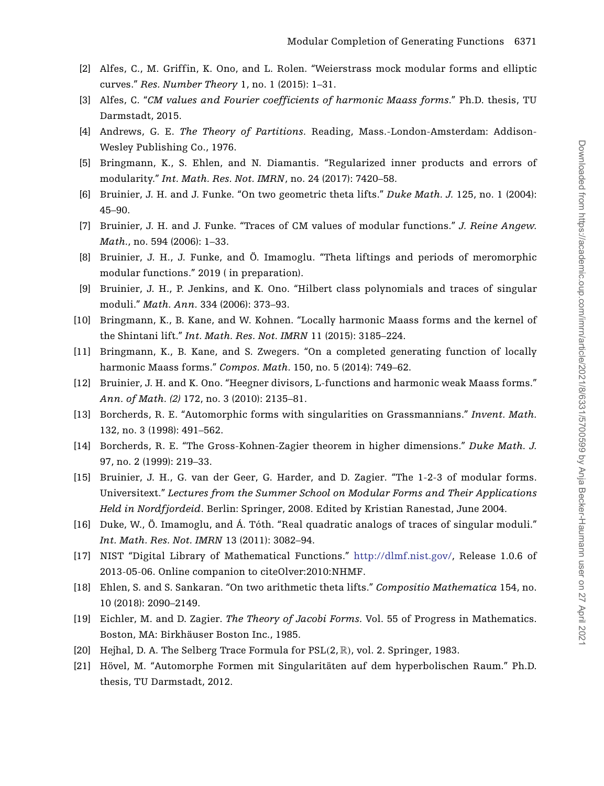- <span id="page-40-13"></span>[2] Alfes, C., M. Griffin, K. Ono, and L. Rolen. "Weierstrass mock modular forms and elliptic curves." *Res. Number Theory* 1, no. 1 (2015): 1–31.
- <span id="page-40-16"></span>[3] Alfes, C. "*CM values and Fourier coefficients of harmonic Maass forms*." Ph.D. thesis, TU Darmstadt, 2015.
- <span id="page-40-0"></span>[4] Andrews, G. E. *The Theory of Partitions*. Reading, Mass.-London-Amsterdam: Addison-Wesley Publishing Co., 1976.
- <span id="page-40-7"></span>[5] Bringmann, K., S. Ehlen, and N. Diamantis. "Regularized inner products and errors of modularity." *Int. Math. Res. Not. IMRN*, no. 24 (2017): 7420–58.
- <span id="page-40-5"></span>[6] Bruinier, J. H. and J. Funke. "On two geometric theta lifts." *Duke Math. J.* 125, no. 1 (2004): 45–90.
- <span id="page-40-6"></span>[7] Bruinier, J. H. and J. Funke. "Traces of CM values of modular functions." *J. Reine Angew. Math.*, no. 594 (2006): 1–33.
- <span id="page-40-2"></span>[8] Bruinier, J. H., J. Funke, and Ö. Imamoglu. "Theta liftings and periods of meromorphic modular functions." 2019 ( in preparation).
- <span id="page-40-19"></span>[9] Bruinier, J. H., P. Jenkins, and K. Ono. "Hilbert class polynomials and traces of singular moduli." *Math. Ann.* 334 (2006): 373–93.
- <span id="page-40-17"></span>[10] Bringmann, K., B. Kane, and W. Kohnen. "Locally harmonic Maass forms and the kernel of the Shintani lift." *Int. Math. Res. Not. IMRN* 11 (2015): 3185–224.
- <span id="page-40-18"></span>[11] Bringmann, K., B. Kane, and S. Zwegers. "On a completed generating function of locally harmonic Maass forms." *Compos. Math.* 150, no. 5 (2014): 749–62.
- <span id="page-40-12"></span>[12] Bruinier, J. H. and K. Ono. "Heegner divisors, L-functions and harmonic weak Maass forms." *Ann. of Math. (2)* 172, no. 3 (2010): 2135–81.
- <span id="page-40-10"></span>[13] Borcherds, R. E. "Automorphic forms with singularities on Grassmannians." *Invent. Math.* 132, no. 3 (1998): 491–562.
- <span id="page-40-11"></span>[14] Borcherds, R. E. "The Gross-Kohnen-Zagier theorem in higher dimensions." *Duke Math. J.* 97, no. 2 (1999): 219–33.
- <span id="page-40-15"></span>[15] Bruinier, J. H., G. van der Geer, G. Harder, and D. Zagier. "The 1-2-3 of modular forms. Universitext." *Lectures from the Summer School on Modular Forms and Their Applications Held in Nordfjordeid*. Berlin: Springer, 2008. Edited by Kristian Ranestad, June 2004.
- <span id="page-40-3"></span>[16] Duke, W., Ö. Imamoglu, and Á. Tóth. "Real quadratic analogs of traces of singular moduli." *Int. Math. Res. Not. IMRN* 13 (2011): 3082–94.
- <span id="page-40-8"></span>[17] NIST "Digital Library of Mathematical Functions." [http://dlmf.nist.gov/,](http://dlmf.nist.gov/) Release 1.0.6 of 2013-05-06. Online companion to citeOlver:2010:NHMF.
- <span id="page-40-4"></span>[18] Ehlen, S. and S. Sankaran. "On two arithmetic theta lifts." *Compositio Mathematica* 154, no. 10 (2018): 2090–2149.
- <span id="page-40-9"></span>[19] Eichler, M. and D. Zagier. *The Theory of Jacobi Forms.* Vol. 55 of Progress in Mathematics. Boston, MA: Birkhäuser Boston Inc., 1985.
- <span id="page-40-20"></span>[20] Hejhal, D. A. The Selberg Trace Formula for PSL*(*2, R*)*, vol. 2. Springer, 1983.
- <span id="page-40-14"></span><span id="page-40-1"></span>[21] Hövel, M. "Automorphe Formen mit Singularitäten auf dem hyperbolischen Raum." Ph.D. thesis, TU Darmstadt, 2012.